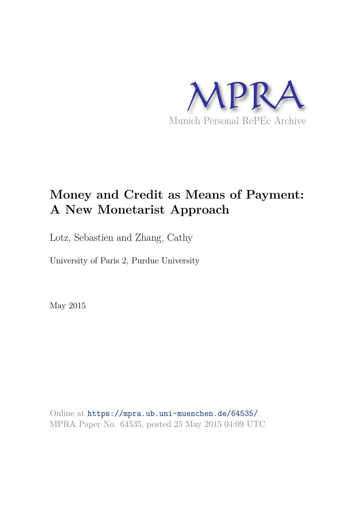

# **Money and Credit as Means of Payment: A New Monetarist Approach**

Lotz, Sebastien and Zhang, Cathy

University of Paris 2, Purdue University

May 2015

Online at https://mpra.ub.uni-muenchen.de/64535/ MPRA Paper No. 64535, posted 25 May 2015 04:09 UTC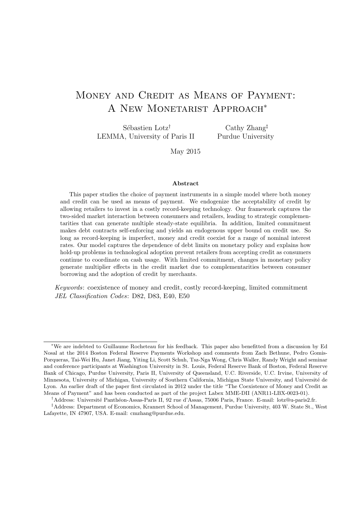## Money and Credit as Means of Payment: A NEW MONETARIST APPROACH<sup>\*</sup>

Sébastien Lotz<sup>†</sup> LEMMA, University of Paris II

Cathy Zhang‡ Purdue University

May 2015

#### Abstract

This paper studies the choice of payment instruments in a simple model where both money and credit can be used as means of payment. We endogenize the acceptability of credit by allowing retailers to invest in a costly record-keeping technology. Our framework captures the two-sided market interaction between consumers and retailers, leading to strategic complementarities that can generate multiple steady-state equilibria. In addition, limited commitment makes debt contracts self-enforcing and yields an endogenous upper bound on credit use. So long as record-keeping is imperfect, money and credit coexist for a range of nominal interest rates. Our model captures the dependence of debt limits on monetary policy and explains how hold-up problems in technological adoption prevent retailers from accepting credit as consumers continue to coordinate on cash usage. With limited commitment, changes in monetary policy generate multiplier effects in the credit market due to complementarities between consumer borrowing and the adoption of credit by merchants.

Keywords: coexistence of money and credit, costly record-keeping, limited commitment JEL Classification Codes: D82, D83, E40, E50

<sup>∗</sup>We are indebted to Guillaume Rocheteau for his feedback. This paper also benefitted from a discussion by Ed Nosal at the 2014 Boston Federal Reserve Payments Workshop and comments from Zach Bethune, Pedro Gomis-Porqueras, Tai-Wei Hu, Janet Jiang, Yiting Li, Scott Schuh, Tsz-Nga Wong, Chris Waller, Randy Wright and seminar and conference participants at Washington University in St. Louis, Federal Reserve Bank of Boston, Federal Reserve Bank of Chicago, Purdue University, Paris II, University of Queensland, U.C. Riverside, U.C. Irvine, University of Minnesota, University of Michigan, University of Southern California, Michigan State University, and Université de Lyon. An earlier draft of the paper first circulated in 2012 under the title "The Coexistence of Money and Credit as Means of Payment" and has been conducted as part of the project Labex MME-DII (ANR11-LBX-0023-01).

<sup>†</sup>Address: Universit´e Panth´eon-Assas-Paris II, 92 rue d'Assas, 75006 Paris, France. E-mail: lotz@u-paris2.fr.

<sup>‡</sup>Address: Department of Economics, Krannert School of Management, Purdue University, 403 W. State St., West Lafayette, IN 47907, USA. E-mail: cmzhang@purdue.edu.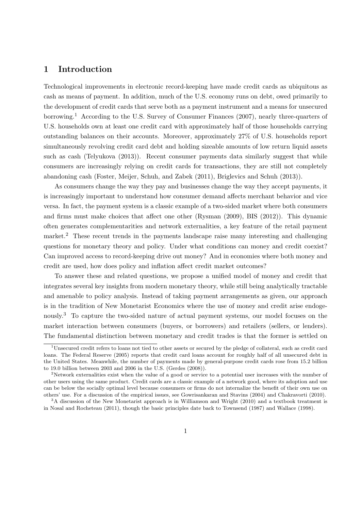### 1 Introduction

Technological improvements in electronic record-keeping have made credit cards as ubiquitous as cash as means of payment. In addition, much of the U.S. economy runs on debt, owed primarily to the development of credit cards that serve both as a payment instrument and a means for unsecured borrowing.<sup>1</sup> According to the U.S. Survey of Consumer Finances (2007), nearly three-quarters of U.S. households own at least one credit card with approximately half of those households carrying outstanding balances on their accounts. Moreover, approximately 27% of U.S. households report simultaneously revolving credit card debt and holding sizeable amounts of low return liquid assets such as cash (Telyukova (2013)). Recent consumer payments data similarly suggest that while consumers are increasingly relying on credit cards for transactions, they are still not completely abandoning cash (Foster, Meijer, Schuh, and Zabek (2011), Briglevics and Schuh (2013)).

As consumers change the way they pay and businesses change the way they accept payments, it is increasingly important to understand how consumer demand affects merchant behavior and vice versa. In fact, the payment system is a classic example of a two-sided market where both consumers and firms must make choices that affect one other (Rysman (2009), BIS (2012)). This dynamic often generates complementarities and network externalities, a key feature of the retail payment market.<sup>2</sup> These recent trends in the payments landscape raise many interesting and challenging questions for monetary theory and policy. Under what conditions can money and credit coexist? Can improved access to record-keeping drive out money? And in economies where both money and credit are used, how does policy and inflation affect credit market outcomes?

To answer these and related questions, we propose a unified model of money and credit that integrates several key insights from modern monetary theory, while still being analytically tractable and amenable to policy analysis. Instead of taking payment arrangements as given, our approach is in the tradition of New Monetarist Economics where the use of money and credit arise endogenously.<sup>3</sup> To capture the two-sided nature of actual payment systems, our model focuses on the market interaction between consumers (buyers, or borrowers) and retailers (sellers, or lenders). The fundamental distinction between monetary and credit trades is that the former is settled on

 $1$ Unsecured credit refers to loans not tied to other assets or secured by the pledge of collateral, such as credit card loans. The Federal Reserve (2005) reports that credit card loans account for roughly half of all unsecured debt in the United States. Meanwhile, the number of payments made by general-purpose credit cards rose from 15.2 billion to 19.0 billion between 2003 and 2006 in the U.S. (Gerdes (2008)).

<sup>&</sup>lt;sup>2</sup>Network externalities exist when the value of a good or service to a potential user increases with the number of other users using the same product. Credit cards are a classic example of a network good, where its adoption and use can be below the socially optimal level because consumers or firms do not internalize the benefit of their own use on others' use. For a discussion of the empirical issues, see Gowrisankaran and Stavins (2004) and Chakravorti (2010).

<sup>&</sup>lt;sup>3</sup>A discussion of the New Monetarist approach is in Williamson and Wright (2010) and a textbook treatment is in Nosal and Rocheteau (2011), though the basic principles date back to Townsend (1987) and Wallace (1998).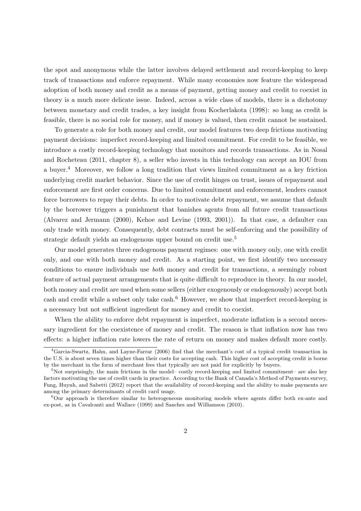the spot and anonymous while the latter involves delayed settlement and record-keeping to keep track of transactions and enforce repayment. While many economies now feature the widespread adoption of both money and credit as a means of payment, getting money and credit to coexist in theory is a much more delicate issue. Indeed, across a wide class of models, there is a dichotomy between monetary and credit trades, a key insight from Kocherlakota (1998): so long as credit is feasible, there is no social role for money, and if money is valued, then credit cannot be sustained.

To generate a role for both money and credit, our model features two deep frictions motivating payment decisions: imperfect record-keeping and limited commitment. For credit to be feasible, we introduce a costly record-keeping technology that monitors and records transactions. As in Nosal and Rocheteau (2011, chapter 8), a seller who invests in this technology can accept an IOU from a buyer.<sup>4</sup> Moreover, we follow a long tradition that views limited commitment as a key friction underlying credit market behavior. Since the use of credit hinges on trust, issues of repayment and enforcement are first order concerns. Due to limited commitment and enforcement, lenders cannot force borrowers to repay their debts. In order to motivate debt repayment, we assume that default by the borrower triggers a punishment that banishes agents from all future credit transactions (Alvarez and Jermann (2000), Kehoe and Levine (1993, 2001)). In that case, a defaulter can only trade with money. Consequently, debt contracts must be self-enforcing and the possibility of strategic default yields an endogenous upper bound on credit use.<sup>5</sup>

Our model generates three endogenous payment regimes: one with money only, one with credit only, and one with both money and credit. As a starting point, we first identify two necessary conditions to ensure individuals use both money and credit for transactions, a seemingly robust feature of actual payment arrangements that is quite difficult to reproduce in theory. In our model, both money and credit are used when some sellers (either exogenously or endogenously) accept both cash and credit while a subset only take cash.<sup>6</sup> However, we show that imperfect record-keeping is a necessary but not sufficient ingredient for money and credit to coexist.

When the ability to enforce debt repayment is imperfect, moderate inflation is a second necessary ingredient for the coexistence of money and credit. The reason is that inflation now has two effects: a higher inflation rate lowers the rate of return on money and makes default more costly.

<sup>4</sup>Garcia-Swartz, Hahn, and Layne-Farrar (2006) find that the merchant's cost of a typical credit transaction in the U.S. is about seven times higher than their costs for accepting cash. This higher cost of accepting credit is borne by the merchant in the form of merchant fees that typically are not paid for explicitly by buyers.

 $5$ Not surprisingly, the main frictions in the model– costly record-keeping and limited commitment– are also key factors motivating the use of credit cards in practice. According to the Bank of Canada's Method of Payments survey, Fung, Huynh, and Sabetti (2012) report that the availability of record-keeping and the ability to make payments are among the primary determinants of credit card usage.

<sup>6</sup>Our approach is therefore similar to heterogeneous monitoring models where agents differ both ex-ante and ex-post, as in Cavalcanti and Wallace (1999) and Sanches and Williamson (2010).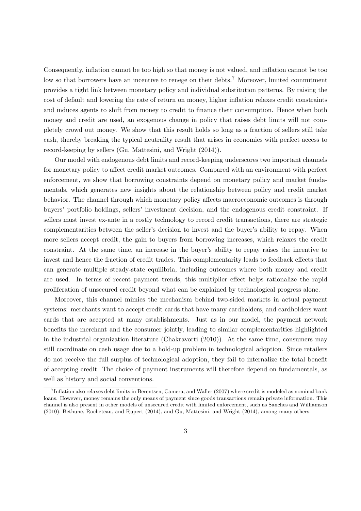Consequently, inflation cannot be too high so that money is not valued, and inflation cannot be too low so that borrowers have an incentive to renege on their debts.<sup>7</sup> Moreover, limited commitment provides a tight link between monetary policy and individual substitution patterns. By raising the cost of default and lowering the rate of return on money, higher inflation relaxes credit constraints and induces agents to shift from money to credit to finance their consumption. Hence when both money and credit are used, an exogenous change in policy that raises debt limits will not completely crowd out money. We show that this result holds so long as a fraction of sellers still take cash, thereby breaking the typical neutrality result that arises in economies with perfect access to record-keeping by sellers (Gu, Mattesini, and Wright (2014)).

Our model with endogenous debt limits and record-keeping underscores two important channels for monetary policy to affect credit market outcomes. Compared with an environment with perfect enforcement, we show that borrowing constraints depend on monetary policy and market fundamentals, which generates new insights about the relationship between policy and credit market behavior. The channel through which monetary policy affects macroeconomic outcomes is through buyers' portfolio holdings, sellers' investment decision, and the endogenous credit constraint. If sellers must invest ex-ante in a costly technology to record credit transactions, there are strategic complementarities between the seller's decision to invest and the buyer's ability to repay. When more sellers accept credit, the gain to buyers from borrowing increases, which relaxes the credit constraint. At the same time, an increase in the buyer's ability to repay raises the incentive to invest and hence the fraction of credit trades. This complementarity leads to feedback effects that can generate multiple steady-state equilibria, including outcomes where both money and credit are used. In terms of recent payment trends, this multiplier effect helps rationalize the rapid proliferation of unsecured credit beyond what can be explained by technological progress alone.

Moreover, this channel mimics the mechanism behind two-sided markets in actual payment systems: merchants want to accept credit cards that have many cardholders, and cardholders want cards that are accepted at many establishments. Just as in our model, the payment network benefits the merchant and the consumer jointly, leading to similar complementarities highlighted in the industrial organization literature (Chakravorti (2010)). At the same time, consumers may still coordinate on cash usage due to a hold-up problem in technological adoption. Since retailers do not receive the full surplus of technological adoption, they fail to internalize the total benefit of accepting credit. The choice of payment instruments will therefore depend on fundamentals, as well as history and social conventions.

<sup>7</sup> Inflation also relaxes debt limits in Berentsen, Camera, and Waller (2007) where credit is modeled as nominal bank loans. However, money remains the only means of payment since goods transactions remain private information. This channel is also present in other models of unsecured credit with limited enforcement, such as Sanches and Williamson (2010), Bethune, Rocheteau, and Rupert (2014), and Gu, Mattesini, and Wright (2014), among many others.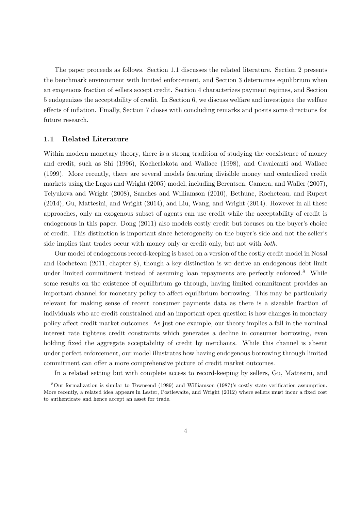The paper proceeds as follows. Section 1.1 discusses the related literature. Section 2 presents the benchmark environment with limited enforcement, and Section 3 determines equilibrium when an exogenous fraction of sellers accept credit. Section 4 characterizes payment regimes, and Section 5 endogenizes the acceptability of credit. In Section 6, we discuss welfare and investigate the welfare effects of inflation. Finally, Section 7 closes with concluding remarks and posits some directions for future research.

### 1.1 Related Literature

Within modern monetary theory, there is a strong tradition of studying the coexistence of money and credit, such as Shi (1996), Kocherlakota and Wallace (1998), and Cavalcanti and Wallace (1999). More recently, there are several models featuring divisible money and centralized credit markets using the Lagos and Wright (2005) model, including Berentsen, Camera, and Waller (2007), Telyukova and Wright (2008), Sanches and Williamson (2010), Bethune, Rocheteau, and Rupert (2014), Gu, Mattesini, and Wright (2014), and Liu, Wang, and Wright (2014). However in all these approaches, only an exogenous subset of agents can use credit while the acceptability of credit is endogenous in this paper. Dong (2011) also models costly credit but focuses on the buyer's choice of credit. This distinction is important since heterogeneity on the buyer's side and not the seller's side implies that trades occur with money only or credit only, but not with *both*.

Our model of endogenous record-keeping is based on a version of the costly credit model in Nosal and Rocheteau (2011, chapter 8), though a key distinction is we derive an endogenous debt limit under limited commitment instead of assuming loan repayments are perfectly enforced.<sup>8</sup> While some results on the existence of equilibrium go through, having limited commitment provides an important channel for monetary policy to affect equilibrium borrowing. This may be particularly relevant for making sense of recent consumer payments data as there is a sizeable fraction of individuals who are credit constrained and an important open question is how changes in monetary policy affect credit market outcomes. As just one example, our theory implies a fall in the nominal interest rate tightens credit constraints which generates a decline in consumer borrowing, even holding fixed the aggregate acceptability of credit by merchants. While this channel is absent under perfect enforcement, our model illustrates how having endogenous borrowing through limited commitment can offer a more comprehensive picture of credit market outcomes.

In a related setting but with complete access to record-keeping by sellers, Gu, Mattesini, and

<sup>8</sup>Our formalization is similar to Townsend (1989) and Williamson (1987)'s costly state verification assumption. More recently, a related idea appears in Lester, Postlewaite, and Wright (2012) where sellers must incur a fixed cost to authenticate and hence accept an asset for trade.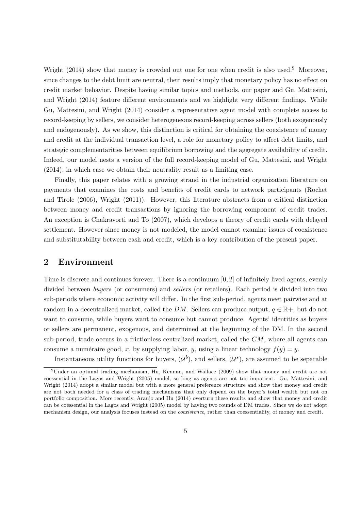Wright (2014) show that money is crowded out one for one when credit is also used.<sup>9</sup> Moreover, since changes to the debt limit are neutral, their results imply that monetary policy has no effect on credit market behavior. Despite having similar topics and methods, our paper and Gu, Mattesini, and Wright (2014) feature different environments and we highlight very different findings. While Gu, Mattesini, and Wright (2014) consider a representative agent model with complete access to record-keeping by sellers, we consider heterogeneous record-keeping across sellers (both exogenously and endogenously). As we show, this distinction is critical for obtaining the coexistence of money and credit at the individual transaction level, a role for monetary policy to affect debt limits, and strategic complementarities between equilibrium borrowing and the aggregate availability of credit. Indeed, our model nests a version of the full record-keeping model of Gu, Mattesini, and Wright (2014), in which case we obtain their neutrality result as a limiting case.

Finally, this paper relates with a growing strand in the industrial organization literature on payments that examines the costs and benefits of credit cards to network participants (Rochet and Tirole (2006), Wright (2011)). However, this literature abstracts from a critical distinction between money and credit transactions by ignoring the borrowing component of credit trades. An exception is Chakravorti and To (2007), which develops a theory of credit cards with delayed settlement. However since money is not modeled, the model cannot examine issues of coexistence and substitutability between cash and credit, which is a key contribution of the present paper.

### 2 Environment

Time is discrete and continues forever. There is a continuum  $[0, 2]$  of infinitely lived agents, evenly divided between buyers (or consumers) and sellers (or retailers). Each period is divided into two sub-periods where economic activity will differ. In the first sub-period, agents meet pairwise and at random in a decentralized market, called the DM. Sellers can produce output,  $q \in \mathbb{R}^+$ , but do not want to consume, while buyers want to consume but cannot produce. Agents' identities as buyers or sellers are permanent, exogenous, and determined at the beginning of the DM. In the second sub-period, trade occurs in a frictionless centralized market, called the CM, where all agents can consume a numéraire good, x, by supplying labor, y, using a linear technology  $f(y) = y$ .

Instantaneous utility functions for buyers,  $(\mathcal{U}^b)$ , and sellers,  $(\mathcal{U}^s)$ , are assumed to be separable

<sup>9</sup>Under an optimal trading mechanism, Hu, Kennan, and Wallace (2009) show that money and credit are not coessential in the Lagos and Wright (2005) model, so long as agents are not too impatient. Gu, Mattesini, and Wright (2014) adopt a similar model but with a more general preference structure and show that money and credit are not both needed for a class of trading mechanisms that only depend on the buyer's total wealth but not on portfolio composition. More recently, Araujo and Hu (2014) overturn these results and show that money and credit can be coessential in the Lagos and Wright (2005) model by having two rounds of DM trades. Since we do not adopt mechanism design, our analysis focuses instead on the coexistence, rather than coessentiality, of money and credit.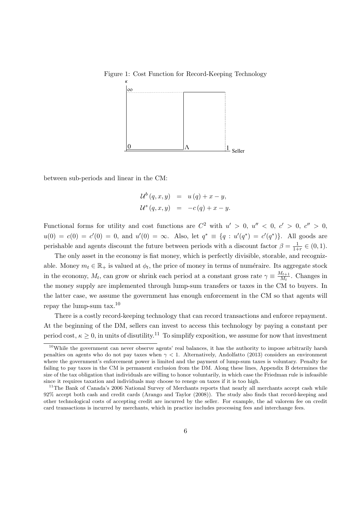

Figure 1: Cost Function for Record-Keeping Technology

between sub-periods and linear in the CM:

$$
\mathcal{U}^{b}(q, x, y) = u(q) + x - y,
$$
  

$$
\mathcal{U}^{s}(q, x, y) = -c(q) + x - y.
$$

Functional forms for utility and cost functions are  $C^2$  with  $u' > 0$ ,  $u'' < 0$ ,  $c' > 0$ ,  $c'' > 0$ ,  $u(0) = c(0) = c'(0) = 0$ , and  $u'(0) = \infty$ . Also, let  $q^* \equiv \{q : u'(q^*) = c'(q^*)\}$ . All goods are perishable and agents discount the future between periods with a discount factor  $\beta = \frac{1}{1+r} \in (0,1)$ .

The only asset in the economy is fiat money, which is perfectly divisible, storable, and recognizable. Money  $m_t \in \mathbb{R}_+$  is valued at  $\phi_t$ , the price of money in terms of numéraire. Its aggregate stock in the economy,  $M_t$ , can grow or shrink each period at a constant gross rate  $\gamma \equiv \frac{M_{t+1}}{M_t}$  $\frac{M_{t+1}}{M_t}$ . Changes in the money supply are implemented through lump-sum transfers or taxes in the CM to buyers. In the latter case, we assume the government has enough enforcement in the CM so that agents will repay the lump-sum tax.<sup>10</sup>

There is a costly record-keeping technology that can record transactions and enforce repayment. At the beginning of the DM, sellers can invest to access this technology by paying a constant per period cost,  $\kappa \geq 0$ , in units of disutility.<sup>11</sup> To simplify exposition, we assume for now that investment

<sup>&</sup>lt;sup>10</sup>While the government can never observe agents' real balances, it has the authority to impose arbitrarily harsh penalties on agents who do not pay taxes when  $\gamma$  < 1. Alternatively, Andolfatto (2013) considers an environment where the government's enforcement power is limited and the payment of lump-sum taxes is voluntary. Penalty for failing to pay taxes in the CM is permanent exclusion from the DM. Along these lines, Appendix B determines the size of the tax obligation that individuals are willing to honor voluntarily, in which case the Friedman rule is infeasible since it requires taxation and individuals may choose to renege on taxes if it is too high.

<sup>&</sup>lt;sup>11</sup>The Bank of Canada's 2006 National Survey of Merchants reports that nearly all merchants accept cash while 92% accept both cash and credit cards (Arango and Taylor (2008)). The study also finds that record-keeping and other technological costs of accepting credit are incurred by the seller. For example, the ad valorem fee on credit card transactions is incurred by merchants, which in practice includes processing fees and interchange fees.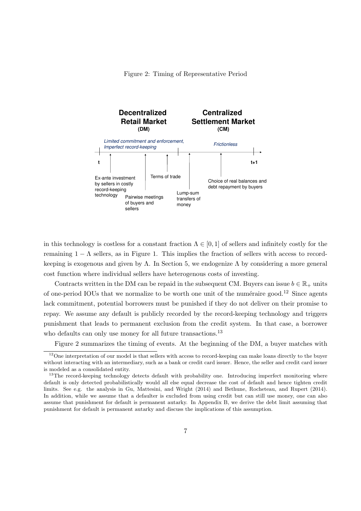Figure 2: Timing of Representative Period



in this technology is costless for a constant fraction  $\Lambda \in [0,1]$  of sellers and infinitely costly for the remaining  $1 - \Lambda$  sellers, as in Figure 1. This implies the fraction of sellers with access to recordkeeping is exogenous and given by  $\Lambda$ . In Section 5, we endogenize  $\Lambda$  by considering a more general cost function where individual sellers have heterogenous costs of investing.

Contracts written in the DM can be repaid in the subsequent CM. Buyers can issue  $b \in \mathbb{R}_+$  units of one-period IOUs that we normalize to be worth one unit of the numéraire good.<sup>12</sup> Since agents lack commitment, potential borrowers must be punished if they do not deliver on their promise to repay. We assume any default is publicly recorded by the record-keeping technology and triggers punishment that leads to permanent exclusion from the credit system. In that case, a borrower who defaults can only use money for all future transactions.<sup>13</sup>

Figure 2 summarizes the timing of events. At the beginning of the DM, a buyer matches with

<sup>&</sup>lt;sup>12</sup>One interpretation of our model is that sellers with access to record-keeping can make loans directly to the buyer without interacting with an intermediary, such as a bank or credit card issuer. Hence, the seller and credit card issuer is modeled as a consolidated entity.

<sup>&</sup>lt;sup>13</sup>The record-keeping technology detects default with probability one. Introducing imperfect monitoring where default is only detected probabilistically would all else equal decrease the cost of default and hence tighten credit limits. See e.g. the analysis in Gu, Mattesini, and Wright (2014) and Bethune, Rocheteau, and Rupert (2014). In addition, while we assume that a defaulter is excluded from using credit but can still use money, one can also assume that punishment for default is permanent autarky. In Appendix B, we derive the debt limit assuming that punishment for default is permanent autarky and discuss the implications of this assumption.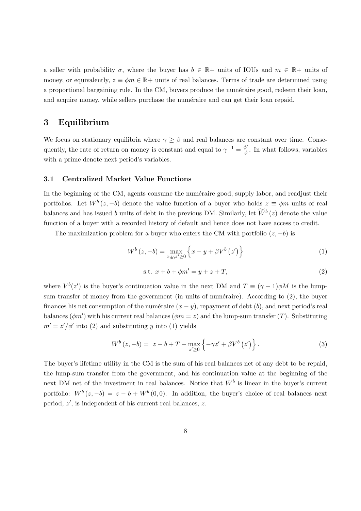a seller with probability  $\sigma$ , where the buyer has  $b \in \mathbb{R}$ + units of IOUs and  $m \in \mathbb{R}$ + units of money, or equivalently,  $z \equiv \phi m \in \mathbb{R}$  units of real balances. Terms of trade are determined using a proportional bargaining rule. In the CM, buyers produce the numéraire good, redeem their loan, and acquire money, while sellers purchase the numéraire and can get their loan repaid.

### 3 Equilibrium

We focus on stationary equilibria where  $\gamma \geq \beta$  and real balances are constant over time. Consequently, the rate of return on money is constant and equal to  $\gamma^{-1} = \frac{\phi'}{\phi}$  $\frac{\varphi}{\phi}$ . In what follows, variables with a prime denote next period's variables.

### 3.1 Centralized Market Value Functions

In the beginning of the CM, agents consume the numéraire good, supply labor, and readjust their portfolios. Let  $W^b(z, -b)$  denote the value function of a buyer who holds  $z \equiv \phi m$  units of real balances and has issued b units of debt in the previous DM. Similarly, let  $\widetilde{W}^b(z)$  denote the value function of a buyer with a recorded history of default and hence does not have access to credit.

The maximization problem for a buyer who enters the CM with portfolio  $(z, -b)$  is

$$
W^{b}\left(z,-b\right) = \max_{x,y,z'\geq 0} \left\{ x - y + \beta V^{b}\left(z'\right) \right\} \tag{1}
$$

s.t. 
$$
x + b + \phi m' = y + z + T
$$
, (2)

where  $V^b(z')$  is the buyer's continuation value in the next DM and  $T \equiv (\gamma - 1)\phi M$  is the lumpsum transfer of money from the government (in units of numéraire). According to  $(2)$ , the buyer finances his net consumption of the numéraire  $(x - y)$ , repayment of debt  $(b)$ , and next period's real balances ( $\phi$ m') with his current real balances ( $\phi$ m = z) and the lump-sum transfer (T). Substituting  $m' = z'/\phi'$  into (2) and substituting y into (1) yields

$$
W^{b}\left(z,-b\right) = z - b + T + \max_{z' \geq 0} \left\{-\gamma z' + \beta V^{b}\left(z'\right)\right\}.
$$
 (3)

The buyer's lifetime utility in the CM is the sum of his real balances net of any debt to be repaid, the lump-sum transfer from the government, and his continuation value at the beginning of the next DM net of the investment in real balances. Notice that  $W<sup>b</sup>$  is linear in the buyer's current portfolio:  $W^b(z, -b) = z - b + W^b(0, 0)$ . In addition, the buyer's choice of real balances next period, z ′ , is independent of his current real balances, z.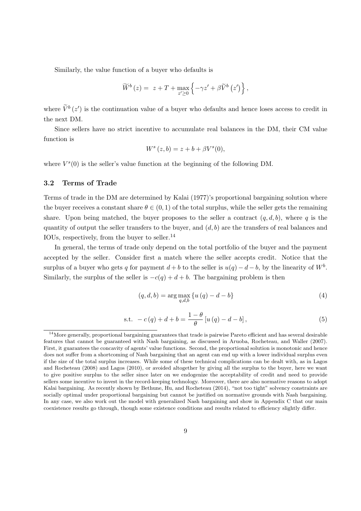Similarly, the value function of a buyer who defaults is

$$
\widetilde{W}^{b}(z) = z + T + \max_{z' \ge 0} \left\{ -\gamma z' + \beta \widetilde{V}^{b}(z') \right\},\,
$$

where  $\tilde{V}^b(z')$  is the continuation value of a buyer who defaults and hence loses access to credit in the next DM.

Since sellers have no strict incentive to accumulate real balances in the DM, their CM value function is

$$
W^s(z,b) = z + b + \beta V^s(0),
$$

where  $V^{s}(0)$  is the seller's value function at the beginning of the following DM.

### 3.2 Terms of Trade

Terms of trade in the DM are determined by Kalai (1977)'s proportional bargaining solution where the buyer receives a constant share  $\theta \in (0,1)$  of the total surplus, while the seller gets the remaining share. Upon being matched, the buyer proposes to the seller a contract  $(q, d, b)$ , where q is the quantity of output the seller transfers to the buyer, and  $(d, b)$  are the transfers of real balances and IOUs, respectively, from the buyer to seller.<sup>14</sup>

In general, the terms of trade only depend on the total portfolio of the buyer and the payment accepted by the seller. Consider first a match where the seller accepts credit. Notice that the surplus of a buyer who gets q for payment  $d + b$  to the seller is  $u(q) - d - b$ , by the linearity of  $W<sup>b</sup>$ . Similarly, the surplus of the seller is  $-c(q) + d + b$ . The bargaining problem is then

$$
(q, d, b) = \arg \max_{q, d, b} \{ u(q) - d - b \}
$$
 (4)

s.t. 
$$
-c(q) + d + b = \frac{1-\theta}{\theta} [u(q) - d - b],
$$
 (5)

 $14$ More generally, proportional bargaining guarantees that trade is pairwise Pareto efficient and has several desirable features that cannot be guaranteed with Nash bargaining, as discussed in Aruoba, Rocheteau, and Waller (2007). First, it guarantees the concavity of agents' value functions. Second, the proportional solution is monotonic and hence does not suffer from a shortcoming of Nash bargaining that an agent can end up with a lower individual surplus even if the size of the total surplus increases. While some of these technical complications can be dealt with, as in Lagos and Rocheteau (2008) and Lagos (2010), or avoided altogether by giving all the surplus to the buyer, here we want to give positive surplus to the seller since later on we endogenize the acceptability of credit and need to provide sellers some incentive to invest in the record-keeping technology. Moreover, there are also normative reasons to adopt Kalai bargaining. As recently shown by Bethune, Hu, and Rocheteau (2014), "not too tight" solvency constraints are socially optimal under proportional bargaining but cannot be justified on normative grounds with Nash bargaining. In any case, we also work out the model with generalized Nash bargaining and show in Appendix C that our main coexistence results go through, though some existence conditions and results related to efficiency slightly differ.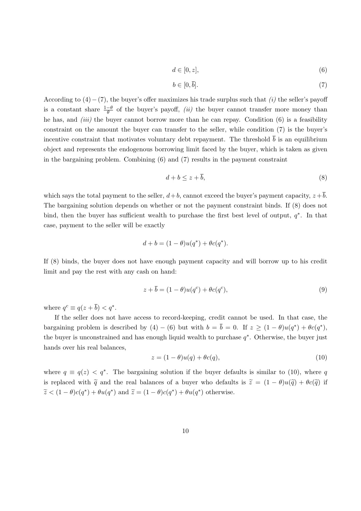$$
d \in [0, z], \tag{6}
$$

$$
b \in [0, \bar{b}]. \tag{7}
$$

According to  $(4)$  – (7), the buyer's offer maximizes his trade surplus such that  $(i)$  the seller's payoff is a constant share  $\frac{1-\theta}{\theta}$  of the buyer's payoff, *(ii)* the buyer cannot transfer more money than he has, and *(iii)* the buyer cannot borrow more than he can repay. Condition  $(6)$  is a feasibility constraint on the amount the buyer can transfer to the seller, while condition (7) is the buyer's incentive constraint that motivates voluntary debt repayment. The threshold  $\bar{b}$  is an equilibrium object and represents the endogenous borrowing limit faced by the buyer, which is taken as given in the bargaining problem. Combining (6) and (7) results in the payment constraint

$$
d + b \le z + \bar{b},\tag{8}
$$

which says the total payment to the seller,  $d+b$ , cannot exceed the buyer's payment capacity,  $z+\overline{b}$ . The bargaining solution depends on whether or not the payment constraint binds. If (8) does not bind, then the buyer has sufficient wealth to purchase the first best level of output,  $q^*$ . In that case, payment to the seller will be exactly

$$
d + b = (1 - \theta)u(q^*) + \theta c(q^*).
$$

If (8) binds, the buyer does not have enough payment capacity and will borrow up to his credit limit and pay the rest with any cash on hand:

$$
z + \overline{b} = (1 - \theta)u(q^c) + \theta c(q^c), \qquad (9)
$$

where  $q^c \equiv q(z + \overline{b}) < q^*$ .

If the seller does not have access to record-keeping, credit cannot be used. In that case, the bargaining problem is described by  $(4) - (6)$  but with  $b = \bar{b} = 0$ . If  $z \geq (1 - \theta)u(q^*) + \theta c(q^*)$ , the buyer is unconstrained and has enough liquid wealth to purchase  $q^*$ . Otherwise, the buyer just hands over his real balances,

$$
z = (1 - \theta)u(q) + \theta c(q),\tag{10}
$$

where  $q \equiv q(z) < q^*$ . The bargaining solution if the buyer defaults is similar to (10), where q is replaced with  $\tilde{q}$  and the real balances of a buyer who defaults is  $\tilde{z} = (1 - \theta)u(\tilde{q}) + \theta c(\tilde{q})$  if  $\widetilde{z} < (1 - \theta)c(q^*) + \theta u(q^*)$  and  $\widetilde{z} = (1 - \theta)c(q^*) + \theta u(q^*)$  otherwise.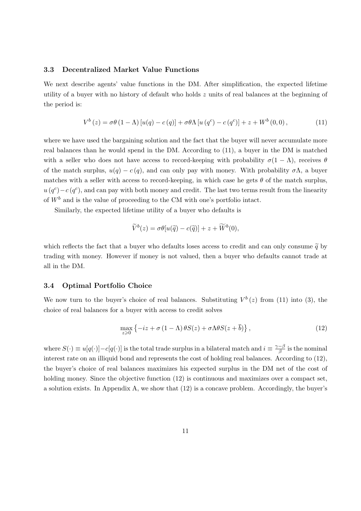### 3.3 Decentralized Market Value Functions

We next describe agents' value functions in the DM. After simplification, the expected lifetime utility of a buyer with no history of default who holds z units of real balances at the beginning of the period is:

$$
V^{b}(z) = \sigma\theta (1 - \Lambda) [u(q) - c(q)] + \sigma\theta \Lambda [u(q^{c}) - c(q^{c})] + z + W^{b}(0,0), \qquad (11)
$$

where we have used the bargaining solution and the fact that the buyer will never accumulate more real balances than he would spend in the DM. According to (11), a buyer in the DM is matched with a seller who does not have access to record-keeping with probability  $\sigma(1-\Lambda)$ , receives  $\theta$ of the match surplus,  $u(q) - c(q)$ , and can only pay with money. With probability  $\sigma \Lambda$ , a buyer matches with a seller with access to record-keeping, in which case he gets  $\theta$  of the match surplus,  $u(q^c) - c(q^c)$ , and can pay with both money and credit. The last two terms result from the linearity of  $W^b$  and is the value of proceeding to the CM with one's portfolio intact.

Similarly, the expected lifetime utility of a buyer who defaults is

$$
\widetilde{V}^b(z) = \sigma \theta[u(\widetilde{q}) - c(\widetilde{q})] + z + \widetilde{W}^b(0),
$$

which reflects the fact that a buyer who defaults loses access to credit and can only consume  $\tilde{q}$  by trading with money. However if money is not valued, then a buyer who defaults cannot trade at all in the DM.

### 3.4 Optimal Portfolio Choice

We now turn to the buyer's choice of real balances. Substituting  $V^b(z)$  from (11) into (3), the choice of real balances for a buyer with access to credit solves

$$
\max_{z \geq 0} \left\{ -iz + \sigma (1 - \Lambda) \theta S(z) + \sigma \Lambda \theta S(z + \overline{b}) \right\},\tag{12}
$$

where  $S(\cdot) \equiv u[q(\cdot)] - c[q(\cdot)]$  is the total trade surplus in a bilateral match and  $i \equiv \frac{\gamma - \beta}{\beta}$  $\frac{-\rho}{\beta}$  is the nominal interest rate on an illiquid bond and represents the cost of holding real balances. According to (12), the buyer's choice of real balances maximizes his expected surplus in the DM net of the cost of holding money. Since the objective function  $(12)$  is continuous and maximizes over a compact set, a solution exists. In Appendix A, we show that (12) is a concave problem. Accordingly, the buyer's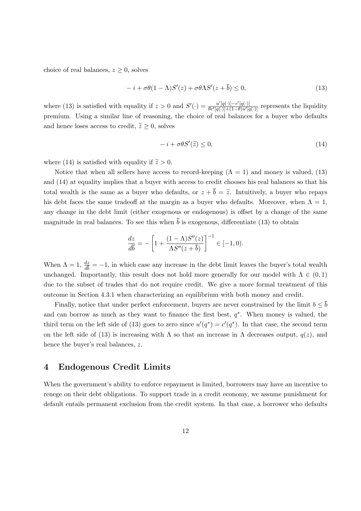choice of real balances,  $z \geq 0$ , solves

$$
-i + \sigma\theta(1 - \Lambda)S'(z) + \sigma\theta\Lambda S'(z + \overline{b}) \le 0,
$$
\n(13)

where (13) is satisfied with equality if  $z > 0$  and  $S'(\cdot) = \frac{u'[q(\cdot)] - c'[q(\cdot)]}{\theta c'[q(\cdot)] + (1 - \theta)u'[q(\cdot)]}$  $\frac{u\left[q(\cdot)\right]-c\left[q(\cdot)\right]}{\theta c'[q(\cdot)]+(1-\theta)u'[q(\cdot)]}$  represents the liquidity premium. Using a similar line of reasoning, the choice of real balances for a buyer who defaults and hence loses access to credit,  $\tilde{z} \geq 0$ , solves

$$
-i + \sigma \theta S'(\tilde{z}) \le 0,\tag{14}
$$

where (14) is satisfied with equality if  $\tilde{z} > 0$ .

Notice that when all sellers have access to record-keeping  $(Λ = 1)$  and money is valued, (13) and (14) at equality implies that a buyer with access to credit chooses his real balances so that his total wealth is the same as a buyer who defaults, or  $z + \overline{b} = \tilde{z}$ . Intuitively, a buyer who repays his debt faces the same tradeoff at the margin as a buyer who defaults. Moreover, when  $\Lambda = 1$ , any change in the debt limit (either exogenous or endogenous) is offset by a change of the same magnitude in real balances. To see this when  $\bar{b}$  is exogenous, differentiate (13) to obtain

$$
\frac{dz}{d\overline{b}} = -\left[1 + \frac{(1-\Lambda)S''(z)}{\Lambda S''(z+\overline{b})}\right]^{-1} \in [-1,0).
$$

When  $\Lambda = 1$ ,  $\frac{dz}{d\bar{b}} = -1$ , in which case any increase in the debt limit leaves the buyer's total wealth unchanged. Importantly, this result does not hold more generally for our model with  $\Lambda \in (0,1)$ due to the subset of trades that do not require credit. We give a more formal treatment of this outcome in Section 4.3.1 when characterizing an equilibrium with both money and credit.

Finally, notice that under perfect enforcement, buyers are never constrained by the limit  $b \leq \overline{b}$ and can borrow as much as they want to finance the first best,  $q^*$ . When money is valued, the third term on the left side of (13) goes to zero since  $u'(q^*) = c'(q^*)$ . In that case, the second term on the left side of (13) is increasing with  $\Lambda$  so that an increase in  $\Lambda$  decreases output,  $q(z)$ , and hence the buyer's real balances, z.

### 4 Endogenous Credit Limits

When the government's ability to enforce repayment is limited, borrowers may have an incentive to renege on their debt obligations. To support trade in a credit economy, we assume punishment for default entails permanent exclusion from the credit system. In that case, a borrower who defaults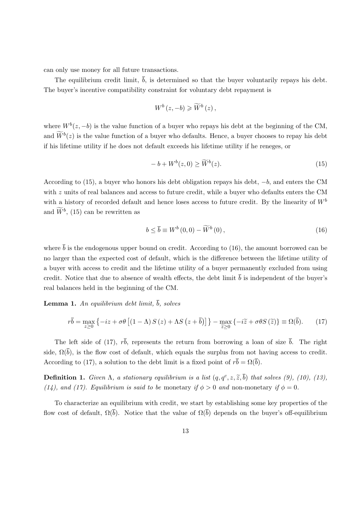can only use money for all future transactions.

The equilibrium credit limit,  $\overline{b}$ , is determined so that the buyer voluntarily repays his debt. The buyer's incentive compatibility constraint for voluntary debt repayment is

$$
W^b(z, -b) \geqslant \widetilde{W}^b(z),
$$

where  $W<sup>b</sup>(z, -b)$  is the value function of a buyer who repays his debt at the beginning of the CM, and  $\widetilde{W}^b(z)$  is the value function of a buyer who defaults. Hence, a buyer chooses to repay his debt if his lifetime utility if he does not default exceeds his lifetime utility if he reneges, or

$$
-b + W^{b}(z, 0) \ge \widetilde{W}^{b}(z). \tag{15}
$$

According to (15), a buyer who honors his debt obligation repays his debt, −b, and enters the CM with z units of real balances and access to future credit, while a buyer who defaults enters the CM with a history of recorded default and hence loses access to future credit. By the linearity of  $W^b$ and  $\widetilde{W}^b$ , (15) can be rewritten as

$$
b \le \overline{b} \equiv W^{b}(0,0) - \widetilde{W}^{b}(0), \qquad (16)
$$

where  $\bar{b}$  is the endogenous upper bound on credit. According to (16), the amount borrowed can be no larger than the expected cost of default, which is the difference between the lifetime utility of a buyer with access to credit and the lifetime utility of a buyer permanently excluded from using credit. Notice that due to absence of wealth effects, the debt limit  $\bar{b}$  is independent of the buyer's real balances held in the beginning of the CM.

**Lemma 1.** An equilibrium debt limit,  $\overline{b}$ , solves

$$
r\overline{b} = \max_{z \ge 0} \left\{ -iz + \sigma\theta \left[ (1 - \Lambda) S(z) + \Lambda S(z + \overline{b}) \right] \right\} - \max_{\widetilde{z} \ge 0} \left\{ -i\widetilde{z} + \sigma\theta S(\widetilde{z}) \right\} \equiv \Omega(\overline{b}).\tag{17}
$$

The left side of (17),  $r\bar{b}$ , represents the return from borrowing a loan of size  $\bar{b}$ . The right side,  $\Omega(\bar{b})$ , is the flow cost of default, which equals the surplus from not having access to credit. According to (17), a solution to the debt limit is a fixed point of  $r\bar{b} = \Omega(\bar{b})$ .

**Definition 1.** Given  $\Lambda$ , a stationary equilibrium is a list  $(q, q^c, z, \tilde{z}, \bar{b})$  that solves (9), (10), (13), (14), and (17). Equilibrium is said to be monetary if  $\phi > 0$  and non-monetary if  $\phi = 0$ .

To characterize an equilibrium with credit, we start by establishing some key properties of the flow cost of default,  $\Omega(\bar{b})$ . Notice that the value of  $\Omega(\bar{b})$  depends on the buyer's off-equilibrium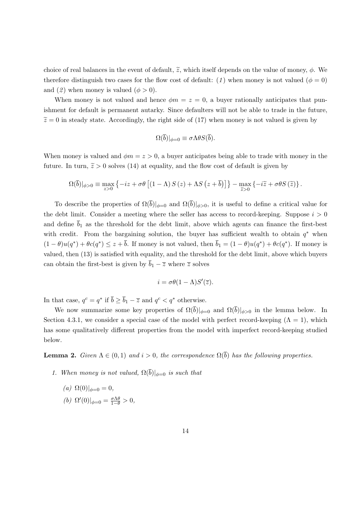choice of real balances in the event of default,  $\tilde{z}$ , which itself depends on the value of money,  $\phi$ . We therefore distinguish two cases for the flow cost of default: (1) when money is not valued ( $\phi = 0$ ) and (2) when money is valued ( $\phi > 0$ ).

When money is not valued and hence  $\phi m = z = 0$ , a buyer rationally anticipates that punishment for default is permanent autarky. Since defaulters will not be able to trade in the future,  $\tilde{z}=0$  in steady state. Accordingly, the right side of (17) when money is not valued is given by

$$
\Omega(\overline{b})|_{\phi=0} \equiv \sigma \Lambda \theta S(\overline{b}).
$$

When money is valued and  $\phi m = z > 0$ , a buyer anticipates being able to trade with money in the future. In turn,  $\tilde{z} > 0$  solves (14) at equality, and the flow cost of default is given by

$$
\Omega(\overline{b})|_{\phi>0} \equiv \max_{z>0} \left\{ -iz + \sigma\theta \left[ (1-\Lambda) S(z) + \Lambda S(z+\overline{b}) \right] \right\} - \max_{\widetilde{z}>0} \left\{ -i\widetilde{z} + \sigma\theta S(\widetilde{z}) \right\}.
$$

To describe the properties of  $\Omega(\overline{b})|_{\phi=0}$  and  $\Omega(\overline{b})|_{\phi>0}$ , it is useful to define a critical value for the debt limit. Consider a meeting where the seller has access to record-keeping. Suppose  $i > 0$ and define  $\overline{b}_1$  as the threshold for the debt limit, above which agents can finance the first-best with credit. From the bargaining solution, the buyer has sufficient wealth to obtain  $q^*$  when  $(1 - \theta)u(q^*) + \theta c(q^*) \leq z + \overline{b}$ . If money is not valued, then  $\overline{b}_1 = (1 - \theta)u(q^*) + \theta c(q^*)$ . If money is valued, then (13) is satisfied with equality, and the threshold for the debt limit, above which buyers can obtain the first-best is given by  $\overline{b}_1 - \overline{z}$  where  $\overline{z}$  solves

$$
i = \sigma \theta (1 - \Lambda) S'(\overline{z}).
$$

In that case,  $q^c = q^*$  if  $\bar{b} \ge \bar{b}_1 - \bar{z}$  and  $q^c < q^*$  otherwise.

We now summarize some key properties of  $\Omega(\overline{b})|_{\phi=0}$  and  $\Omega(\overline{b})|_{\phi>0}$  in the lemma below. In Section 4.3.1, we consider a special case of the model with perfect record-keeping  $(Λ = 1)$ , which has some qualitatively different properties from the model with imperfect record-keeping studied below.

**Lemma 2.** Given  $\Lambda \in (0,1)$  and  $i > 0$ , the correspondence  $\Omega(\overline{b})$  has the following properties.

1. When money is not valued,  $\Omega(\overline{b})|_{\phi=0}$  is such that

(a) 
$$
\Omega(0)|_{\phi=0} = 0
$$
,  
(b)  $\Omega'(0)|_{\phi=0} = \frac{\sigma \Lambda \theta}{1-\theta} > 0$ ,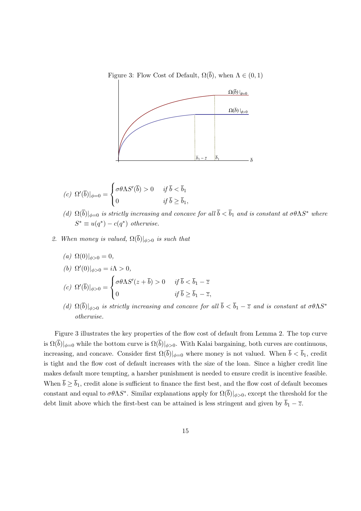Figure 3: Flow Cost of Default,  $\Omega(\overline{b})$ , when  $\Lambda \in (0,1)$ 



$$
(c) \ \Omega'(\overline{b})|_{\phi=0} = \begin{cases} \sigma \theta \Lambda S'(\overline{b}) > 0 & \text{if } \overline{b} < \overline{b}_1 \\ 0 & \text{if } \overline{b} \ge \overline{b}_1, \end{cases}
$$

- (d)  $\Omega(\bar{b})|_{\phi=0}$  is strictly increasing and concave for all  $\bar{b} < \bar{b}_1$  and is constant at  $\sigma \theta \Lambda S^*$  where  $S^* \equiv u(q^*) - c(q^*)$  otherwise.
- 2. When money is valued,  $\Omega(\overline{b})|_{\phi>0}$  is such that
	- (a)  $\Omega(0)|_{\phi>0} = 0,$
	- (b)  $\Omega'(0)|_{\phi>0} = i\Lambda > 0,$

$$
(c) \ \Omega'(\overline{b})|_{\phi>0} = \begin{cases} \sigma \theta \Lambda S'(z + \overline{b}) > 0 & \text{if } \overline{b} < \overline{b}_1 - \overline{z} \\ 0 & \text{if } \overline{b} \ge \overline{b}_1 - \overline{z}, \end{cases}
$$

(d)  $\Omega(\bar{b})|_{\phi>0}$  is strictly increasing and concave for all  $\bar{b} < \bar{b}_1 - \bar{z}$  and is constant at  $\sigma \theta \Lambda S^*$ otherwise.

Figure 3 illustrates the key properties of the flow cost of default from Lemma 2. The top curve is  $\Omega(\overline{b})|_{\phi=0}$  while the bottom curve is  $\Omega(\overline{b})|_{\phi>0}$ . With Kalai bargaining, both curves are continuous, increasing, and concave. Consider first  $\Omega(\bar{b})|_{\phi=0}$  where money is not valued. When  $\bar{b} < \bar{b}_1$ , credit is tight and the flow cost of default increases with the size of the loan. Since a higher credit line makes default more tempting, a harsher punishment is needed to ensure credit is incentive feasible. When  $\bar{b} \ge \bar{b}_1$ , credit alone is sufficient to finance the first best, and the flow cost of default becomes constant and equal to  $\sigma\theta\Lambda S^*$ . Similar explanations apply for  $\Omega(\bar{b})|_{\phi>0}$ , except the threshold for the debt limit above which the first-best can be attained is less stringent and given by  $\bar{b}_1 - \bar{z}$ .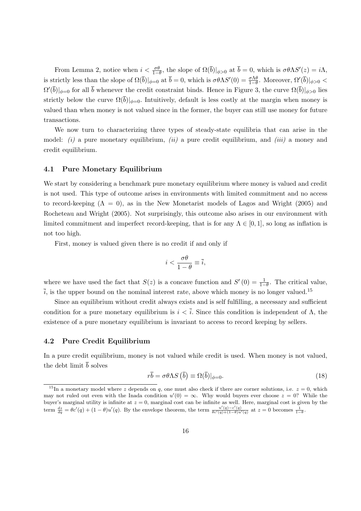From Lemma 2, notice when  $i < \frac{\sigma \theta}{1-\theta}$ , the slope of  $\Omega(\overline{b})|_{\phi>0}$  at  $\overline{b} = 0$ , which is  $\sigma \theta \Lambda S'(z) = i\Lambda$ , is strictly less than the slope of  $\Omega(\bar{b})|_{\phi=0}$  at  $\bar{b}=0$ , which is  $\sigma\theta\Lambda S'(0)=\frac{\sigma\Lambda\theta}{1-\theta}$ . Moreover,  $\Omega'(\bar{b})|_{\phi>0}<$  $\Omega'(\bar{b})|_{\phi=0}$  for all  $\bar{b}$  whenever the credit constraint binds. Hence in Figure 3, the curve  $\Omega(\bar{b})|_{\phi>0}$  lies strictly below the curve  $\Omega(\bar{b})|_{\phi=0}$ . Intuitively, default is less costly at the margin when money is valued than when money is not valued since in the former, the buyer can still use money for future transactions.

We now turn to characterizing three types of steady-state equilibria that can arise in the model:  $(i)$  a pure monetary equilibrium,  $(ii)$  a pure credit equilibrium, and  $(iii)$  a money and credit equilibrium.

#### 4.1 Pure Monetary Equilibrium

We start by considering a benchmark pure monetary equilibrium where money is valued and credit is not used. This type of outcome arises in environments with limited commitment and no access to record-keeping  $(\Lambda = 0)$ , as in the New Monetarist models of Lagos and Wright (2005) and Rocheteau and Wright (2005). Not surprisingly, this outcome also arises in our environment with limited commitment and imperfect record-keeping, that is for any  $\Lambda \in [0,1]$ , so long as inflation is not too high.

First, money is valued given there is no credit if and only if

$$
i < \frac{\sigma \theta}{1 - \theta} \equiv \overline{i},
$$

where we have used the fact that  $S(z)$  is a concave function and  $S'(0) = \frac{1}{1-\theta}$ . The critical value,  $\overline{i}$ , is the upper bound on the nominal interest rate, above which money is no longer valued.<sup>15</sup>

Since an equilibrium without credit always exists and is self fulfilling, a necessary and sufficient condition for a pure monetary equilibrium is  $i < \overline{i}$ . Since this condition is independent of  $\Lambda$ , the existence of a pure monetary equilibrium is invariant to access to record keeping by sellers.

### 4.2 Pure Credit Equilibrium

In a pure credit equilibrium, money is not valued while credit is used. When money is not valued, the debt limit  $\bar{b}$  solves

$$
r\overline{b} = \sigma\theta\Lambda S\left(\overline{b}\right) \equiv \Omega(\overline{b})|_{\phi=0}.\tag{18}
$$

<sup>&</sup>lt;sup>15</sup>In a monetary model where z depends on q, one must also check if there are corner solutions, i.e.  $z = 0$ , which may not ruled out even with the Inada condition  $u'(0) = \infty$ . Why would buyers ever choose  $z = 0$ ? While the buyer's marginal utility is infinite at  $z = 0$ , marginal cost can be infinite as well. Here, marginal cost is given by the term  $\frac{dz}{dq} = \theta c'(q) + (1 - \theta)u'(q)$ . By the envelope theorem, the term  $\frac{u'(q) - c'(q)}{\theta c'(q) + (1 - \theta)u'(q)}$  at  $z = 0$  becomes  $\frac{1}{1 - \theta}$ .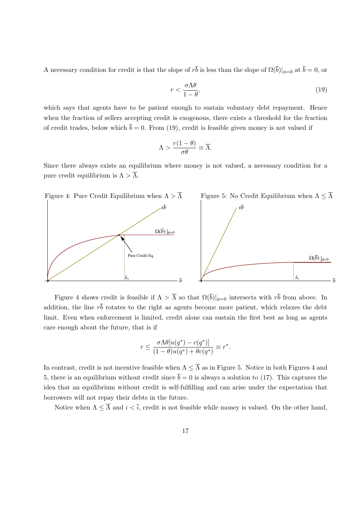A necessary condition for credit is that the slope of  $r\bar{b}$  is less than the slope of  $\Omega(\bar{b})|_{\phi=0}$  at  $\bar{b}=0$ , or

$$
r < \frac{\sigma \Lambda \theta}{1 - \theta},\tag{19}
$$

which says that agents have to be patient enough to sustain voluntary debt repayment. Hence when the fraction of sellers accepting credit is exogenous, there exists a threshold for the fraction of credit trades, below which  $\bar{b} = 0$ . From (19), credit is feasible given money is not valued if

$$
\Lambda > \frac{r(1-\theta)}{\sigma\theta} \equiv \overline{\Lambda}.
$$

Since there always exists an equilibrium where money is not valued, a necessary condition for a pure credit equilibrium is  $\Lambda > \overline{\Lambda}$ .



Figure 4 shows credit is feasible if  $\Lambda > \overline{\Lambda}$  so that  $\Omega(\overline{b})|_{\phi=0}$  intersects with  $r\overline{b}$  from above. In addition, the line  $r\bar{b}$  rotates to the right as agents become more patient, which relaxes the debt limit. Even when enforcement is limited, credit alone can sustain the first best as long as agents care enough about the future, that is if

$$
r \le \frac{\sigma \Lambda \theta[u(q^*) - c(q^*)]}{(1 - \theta)u(q^*) + \theta c(q^*)} \equiv r^*.
$$

In contrast, credit is not incentive feasible when  $\Lambda \leq \overline{\Lambda}$  as in Figure 5. Notice in both Figures 4 and 5, there is an equilibrium without credit since  $\bar{b} = 0$  is always a solution to (17). This captures the idea that an equilibrium without credit is self-fulfilling and can arise under the expectation that borrowers will not repay their debts in the future.

Notice when  $\Lambda \leq \overline{\Lambda}$  and  $i < \overline{i}$ , credit is not feasible while money is valued. On the other hand,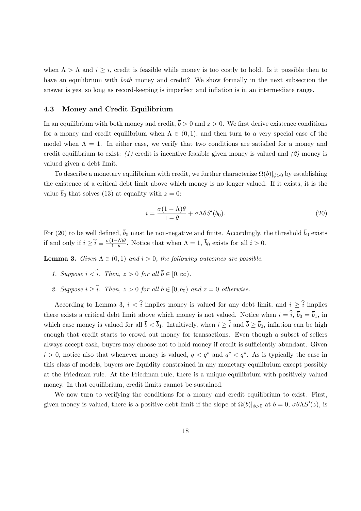when  $\Lambda > \overline{\Lambda}$  and  $i \geq \overline{i}$ , credit is feasible while money is too costly to hold. Is it possible then to have an equilibrium with *both* money and credit? We show formally in the next subsection the answer is yes, so long as record-keeping is imperfect and inflation is in an intermediate range.

### 4.3 Money and Credit Equilibrium

In an equilibrium with both money and credit,  $\bar{b} > 0$  and  $z > 0$ . We first derive existence conditions for a money and credit equilibrium when  $\Lambda \in (0,1)$ , and then turn to a very special case of the model when  $\Lambda = 1$ . In either case, we verify that two conditions are satisfied for a money and credit equilibrium to exist: (1) credit is incentive feasible given money is valued and (2) money is valued given a debt limit.

To describe a monetary equilibrium with credit, we further characterize  $\Omega(\overline{b})|_{\phi>0}$  by establishing the existence of a critical debt limit above which money is no longer valued. If it exists, it is the value  $\bar{b}_0$  that solves (13) at equality with  $z = 0$ :

$$
i = \frac{\sigma(1 - \Lambda)\theta}{1 - \theta} + \sigma \Lambda \theta S'(\bar{b}_0).
$$
\n(20)

For (20) to be well defined,  $\bar{b}_0$  must be non-negative and finite. Accordingly, the threshold  $\bar{b}_0$  exists if and only if  $i \geq \hat{i} \equiv \frac{\sigma(1-\Lambda)\theta}{1-\theta}$  $\frac{1-\Lambda}{1-\theta}$ . Notice that when  $\Lambda = 1$ ,  $b_0$  exists for all  $i > 0$ .

**Lemma 3.** Given  $\Lambda \in (0,1)$  and  $i > 0$ , the following outcomes are possible.

- 1. Suppose  $i < \hat{i}$ . Then,  $z > 0$  for all  $\overline{b} \in [0, \infty)$ .
- 2. Suppose  $i > \hat{i}$ . Then,  $z > 0$  for all  $\overline{b} \in [0, \overline{b}_0)$  and  $z = 0$  otherwise.

According to Lemma 3,  $i < \hat{i}$  implies money is valued for any debt limit, and  $i \geq \hat{i}$  implies there exists a critical debt limit above which money is not valued. Notice when  $i = \hat{i}$ ,  $\bar{b}_0 = \bar{b}_1$ , in which case money is valued for all  $\bar{b} < \bar{b}_1$ . Intuitively, when  $i \geq \hat{i}$  and  $\bar{b} \geq \bar{b}_0$ , inflation can be high enough that credit starts to crowd out money for transactions. Even though a subset of sellers always accept cash, buyers may choose not to hold money if credit is sufficiently abundant. Given  $i > 0$ , notice also that whenever money is valued,  $q < q^*$  and  $q^c < q^*$ . As is typically the case in this class of models, buyers are liquidity constrained in any monetary equilibrium except possibly at the Friedman rule. At the Friedman rule, there is a unique equilibrium with positively valued money. In that equilibrium, credit limits cannot be sustained.

We now turn to verifying the conditions for a money and credit equilibrium to exist. First, given money is valued, there is a positive debt limit if the slope of  $\Omega(\bar{b})|_{\phi>0}$  at  $\bar{b}=0$ ,  $\sigma\theta\Lambda S'(z)$ , is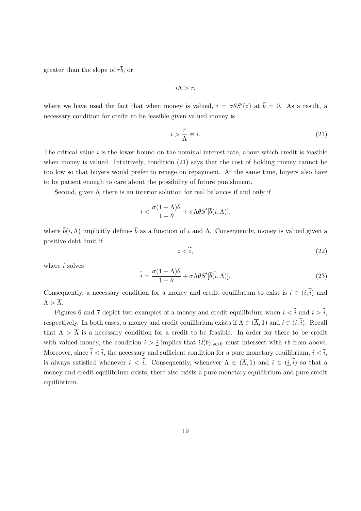greater than the slope of  $r\bar{b}$ , or

 $i\Lambda > r$ ,

where we have used the fact that when money is valued,  $i = \sigma \theta S'(z)$  at  $\bar{b} = 0$ . As a result, a necessary condition for credit to be feasible given valued money is

$$
i > \frac{r}{\Lambda} \equiv \underline{i}.\tag{21}
$$

The critical value  $i$  is the lower bound on the nominal interest rate, above which credit is feasible when money is valued. Intuitively, condition (21) says that the cost of holding money cannot be too low so that buyers would prefer to renege on repayment. At the same time, buyers also have to be patient enough to care about the possibility of future punishment.

Second, given  $\bar{b}$ , there is an interior solution for real balances if and only if

$$
i<\frac{\sigma(1-\Lambda)\theta}{1-\theta}+\sigma\Lambda\theta S'[\overline{b}(i,\Lambda)],
$$

where  $\bar{b}(i,\Lambda)$  implicitly defines  $\bar{b}$  as a function of i and  $\Lambda$ . Consequently, money is valued given a positive debt limit if

$$
i < \tilde{i},\tag{22}
$$

where  $\tilde{i}$  solves

$$
\widetilde{i} = \frac{\sigma(1 - \Lambda)\theta}{1 - \theta} + \sigma \Lambda \theta S'[\overline{b}(\widetilde{i}, \Lambda)].
$$
\n(23)

Consequently, a necessary condition for a money and credit equilibrium to exist is  $i \in (i, \tilde{i})$  and  $\Lambda > \overline{\Lambda}$ .

Figures 6 and 7 depict two examples of a money and credit equilibrium when  $i < \hat{i}$  and  $i > \hat{i}$ , respectively. In both cases, a money and credit equilibrium exists if  $\Lambda \in (\overline{\Lambda}, 1)$  and  $i \in (i, \tilde{i})$ . Recall that  $\Lambda > \overline{\Lambda}$  is a necessary condition for a credit to be feasible. In order for there to be credit with valued money, the condition  $i > i$  implies that  $\Omega(\overline{b})|_{\phi>0}$  must intersect with  $r\overline{b}$  from above. Moreover, since  $\tilde{i} < \tilde{i}$ , the necessary and sufficient condition for a pure monetary equilibrium,  $i < \tilde{i}$ , is always satisfied whenever  $i < \tilde{i}$ . Consequently, whenever  $\Lambda \in (\overline{\Lambda}, 1)$  and  $i \in (i, \tilde{i})$  so that a money and credit equilibrium exists, there also exists a pure monetary equilibrium and pure credit equilibrium.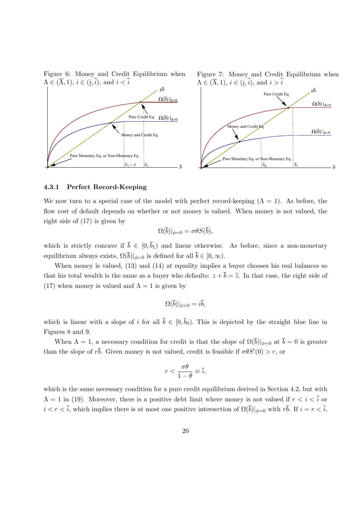Figure 6: Money and Credit Equilibrium when  $\Lambda \in (\overline{\Lambda}, 1), i \in (\underline{i}, i),$  and  $i < i$ 



Figure 7: Money and Credit Equilibrium when  $\Lambda \in (\overline{\Lambda}, 1), i \in (i, i),$  and  $i > i$ 



#### 4.3.1 Perfect Record-Keeping

We now turn to a special case of the model with perfect record-keeping  $(Λ = 1)$ . As before, the flow cost of default depends on whether or not money is valued. When money is not valued, the right side of (17) is given by

$$
\Omega(\overline{b})|_{\phi=0}=\sigma\theta S(\overline{b}),
$$

which is strictly concave if  $\bar{b} \in [0, \bar{b}_1)$  and linear otherwise. As before, since a non-monetary equilibrium always exists,  $\Omega(\overline{b})|_{\phi=0}$  is defined for all  $\overline{b} \in [0,\infty)$ .

When money is valued,  $(13)$  and  $(14)$  at equality implies a buyer chooses his real balances so that his total wealth is the same as a buyer who defaults:  $z + \overline{b} = \tilde{z}$ . In that case, the right side of (17) when money is valued and  $\Lambda = 1$  is given by

$$
\Omega(\overline{b})|_{\phi>0}=i\overline{b},
$$

which is linear with a slope of i for all  $\bar{b} \in [0, \bar{b}_0)$ . This is depicted by the straight blue line in Figures 8 and 9.

When  $\Lambda = 1$ , a necessary condition for credit is that the slope of  $\Omega(\bar{b})|_{\phi=0}$  at  $\bar{b} = 0$  is greater than the slope of  $r\bar{b}$ . Given money is not valued, credit is feasible if  $\sigma\theta S'(0) > r$ , or

$$
r < \frac{\sigma \theta}{1 - \theta} \equiv \overline{i},
$$

which is the same necessary condition for a pure credit equilibrium derived in Section 4.2, but with  $\Lambda = 1$  in (19). Moreover, there is a positive debt limit where money is not valued if  $r < i < \overline{i}$  or  $i < r < \overline{i}$ , which implies there is at most one positive intersection of  $\Omega(\overline{b})|_{\phi=0}$  with  $r\overline{b}$ . If  $i = r < \overline{i}$ ,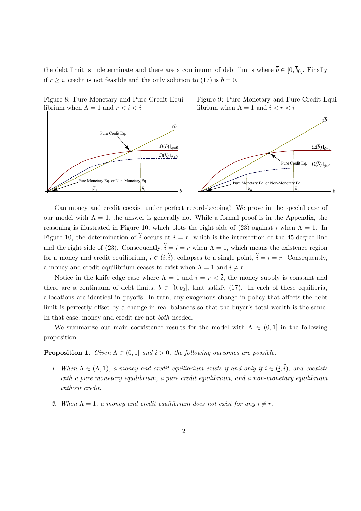the debt limit is indeterminate and there are a continuum of debt limits where  $\bar{b} \in [0, \bar{b}_0]$ . Finally if  $r \geq \overline{i}$ , credit is not feasible and the only solution to (17) is  $\overline{b} = 0$ .

Figure 9: Pure Monetary and Pure Credit Equi-

librium when  $\Lambda = 1$  and  $i < r < \overline{i}$ 



Figure 8: Pure Monetary and Pure Credit Equilibrium when  $\Lambda = 1$  and  $r < i < \overline{i}$ 

Can money and credit coexist under perfect record-keeping? We prove in the special case of our model with  $\Lambda = 1$ , the answer is generally no. While a formal proof is in the Appendix, the reasoning is illustrated in Figure 10, which plots the right side of (23) against i when  $\Lambda = 1$ . In Figure 10, the determination of  $\tilde{i}$  occurs at  $i = r$ , which is the intersection of the 45-degree line and the right side of (23). Consequently,  $\tilde{i} = i = r$  when  $\Lambda = 1$ , which means the existence region for a money and credit equilibrium,  $i \in (i, \tilde{i})$ , collapses to a single point,  $\tilde{i} = i = r$ . Consequently, a money and credit equilibrium ceases to exist when  $\Lambda = 1$  and  $i \neq r$ .

Notice in the knife edge case where  $\Lambda = 1$  and  $i = r \leq \overline{i}$ , the money supply is constant and there are a continuum of debt limits,  $\bar{b} \in [0, \bar{b}_0]$ , that satisfy (17). In each of these equilibria, allocations are identical in payoffs. In turn, any exogenous change in policy that affects the debt limit is perfectly offset by a change in real balances so that the buyer's total wealth is the same. In that case, money and credit are not both needed.

We summarize our main coexistence results for the model with  $\Lambda \in (0,1]$  in the following proposition.

**Proposition 1.** Given  $\Lambda \in (0,1]$  and  $i > 0$ , the following outcomes are possible.

- 1. When  $\Lambda \in (\overline{\Lambda}, 1)$ , a money and credit equilibrium exists if and only if  $i \in (i, i)$ , and coexists with a pure monetary equilibrium, a pure credit equilibrium, and a non-monetary equilibrium without credit.
- 2. When  $\Lambda = 1$ , a money and credit equilibrium does not exist for any  $i \neq r$ .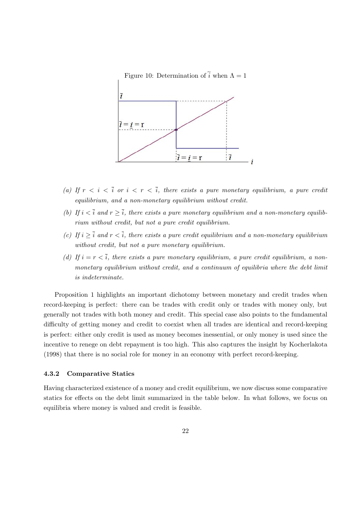

- (a) If  $r < i < \overline{i}$  or  $i < r < \overline{i}$ , there exists a pure monetary equilibrium, a pure credit equilibrium, and a non-monetary equilibrium without credit.
- (b) If  $i < \overline{i}$  and  $r \geq \overline{i}$ , there exists a pure monetary equilibrium and a non-monetary equilibrium without credit, but not a pure credit equilibrium.
- (c) If  $i > \overline{i}$  and  $r < \overline{i}$ , there exists a pure credit equilibrium and a non-monetary equilibrium without credit, but not a pure monetary equilibrium.
- (d) If  $i = r < \overline{i}$ , there exists a pure monetary equilibrium, a pure credit equilibrium, a nonmonetary equilibrium without credit, and a continuum of equilibria where the debt limit is indeterminate.

Proposition 1 highlights an important dichotomy between monetary and credit trades when record-keeping is perfect: there can be trades with credit only or trades with money only, but generally not trades with both money and credit. This special case also points to the fundamental difficulty of getting money and credit to coexist when all trades are identical and record-keeping is perfect: either only credit is used as money becomes inessential, or only money is used since the incentive to renege on debt repayment is too high. This also captures the insight by Kocherlakota (1998) that there is no social role for money in an economy with perfect record-keeping.

### 4.3.2 Comparative Statics

Having characterized existence of a money and credit equilibrium, we now discuss some comparative statics for effects on the debt limit summarized in the table below. In what follows, we focus on equilibria where money is valued and credit is feasible.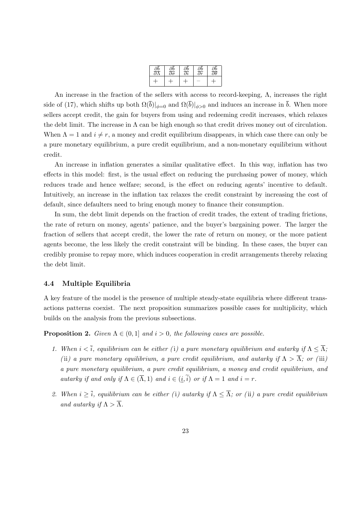| Jb | Ib                           | db<br>Əi | Jb                      | Эb                           |
|----|------------------------------|----------|-------------------------|------------------------------|
| я  | $\overline{\partial \sigma}$ |          | $\overline{\partial r}$ | $\overline{\partial \theta}$ |
|    |                              |          |                         |                              |

An increase in the fraction of the sellers with access to record-keeping,  $\Lambda$ , increases the right side of (17), which shifts up both  $\Omega(\bar{b})|_{\phi=0}$  and  $\Omega(\bar{b})|_{\phi>0}$  and induces an increase in  $\bar{b}$ . When more sellers accept credit, the gain for buyers from using and redeeming credit increases, which relaxes the debt limit. The increase in  $\Lambda$  can be high enough so that credit drives money out of circulation. When  $\Lambda = 1$  and  $i \neq r$ , a money and credit equilibrium disappears, in which case there can only be a pure monetary equilibrium, a pure credit equilibrium, and a non-monetary equilibrium without credit.

An increase in inflation generates a similar qualitative effect. In this way, inflation has two effects in this model: first, is the usual effect on reducing the purchasing power of money, which reduces trade and hence welfare; second, is the effect on reducing agents' incentive to default. Intuitively, an increase in the inflation tax relaxes the credit constraint by increasing the cost of default, since defaulters need to bring enough money to finance their consumption.

In sum, the debt limit depends on the fraction of credit trades, the extent of trading frictions, the rate of return on money, agents' patience, and the buyer's bargaining power. The larger the fraction of sellers that accept credit, the lower the rate of return on money, or the more patient agents become, the less likely the credit constraint will be binding. In these cases, the buyer can credibly promise to repay more, which induces cooperation in credit arrangements thereby relaxing the debt limit.

### 4.4 Multiple Equilibria

A key feature of the model is the presence of multiple steady-state equilibria where different transactions patterns coexist. The next proposition summarizes possible cases for multiplicity, which builds on the analysis from the previous subsections.

**Proposition 2.** Given  $\Lambda \in (0,1]$  and  $i > 0$ , the following cases are possible.

- 1. When  $i < \overline{i}$ , equilibrium can be either (i) a pure monetary equilibrium and autarky if  $\Lambda \leq \overline{\Lambda}$ ; (ii) a pure monetary equilibrium, a pure credit equilibrium, and autarky if  $\Lambda > \overline{\Lambda}$ ; or (iii) a pure monetary equilibrium, a pure credit equilibrium, a money and credit equilibrium, and autarky if and only if  $\Lambda \in (\overline{\Lambda}, 1)$  and  $i \in (i, \tilde{i})$  or if  $\Lambda = 1$  and  $i = r$ .
- 2. When  $i \geq \overline{i}$ , equilibrium can be either (i) autarky if  $\Lambda \leq \overline{\Lambda}$ ; or (ii) a pure credit equilibrium and autarky if  $\Lambda > \overline{\Lambda}$ .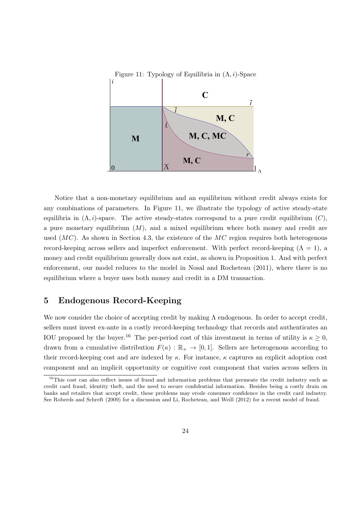

Notice that a non-monetary equilibrium and an equilibrium without credit always exists for any combinations of parameters. In Figure 11, we illustrate the typology of active steady-state equilibria in  $(\Lambda, i)$ -space. The active steady-states correspond to a pure credit equilibrium  $(C)$ , a pure monetary equilibrium  $(M)$ , and a mixed equilibrium where both money and credit are used  $(MC)$ . As shown in Section 4.3, the existence of the MC region requires both heterogenous record-keeping across sellers and imperfect enforcement. With perfect record-keeping  $(Λ = 1)$ , a money and credit equilibrium generally does not exist, as shown in Proposition 1. And with perfect enforcement, our model reduces to the model in Nosal and Rocheteau (2011), where there is no equilibrium where a buyer uses both money and credit in a DM transaction.

### 5 Endogenous Record-Keeping

We now consider the choice of accepting credit by making  $\Lambda$  endogenous. In order to accept credit, sellers must invest ex-ante in a costly record-keeping technology that records and authenticates an IOU proposed by the buyer.<sup>16</sup> The per-period cost of this investment in terms of utility is  $\kappa \geq 0$ , drawn from a cumulative distribution  $F(\kappa) : \mathbb{R}_+ \to [0,1]$ . Sellers are heterogenous according to their record-keeping cost and are indexed by  $\kappa$ . For instance,  $\kappa$  captures an explicit adoption cost component and an implicit opportunity or cognitive cost component that varies across sellers in

<sup>&</sup>lt;sup>16</sup>This cost can also reflect issues of fraud and information problems that permeate the credit industry such as credit card fraud, identity theft, and the need to secure confidential information. Besides being a costly drain on banks and retailers that accept credit, these problems may erode consumer confidence in the credit card industry. See Roberds and Schreft (2009) for a discussion and Li, Rocheteau, and Weill (2012) for a recent model of fraud.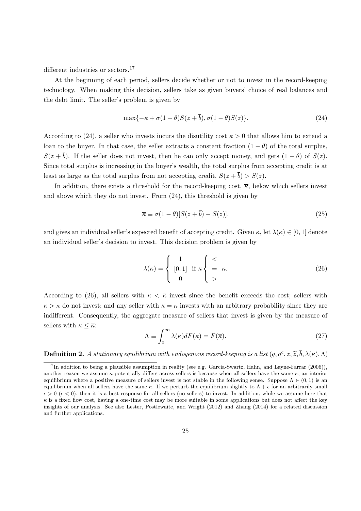different industries or sectors.<sup>17</sup>

At the beginning of each period, sellers decide whether or not to invest in the record-keeping technology. When making this decision, sellers take as given buyers' choice of real balances and the debt limit. The seller's problem is given by

$$
\max\{-\kappa + \sigma(1-\theta)S(z+\overline{b}), \sigma(1-\theta)S(z)\}.
$$
 (24)

According to (24), a seller who invests incurs the disutility cost  $\kappa > 0$  that allows him to extend a loan to the buyer. In that case, the seller extracts a constant fraction  $(1 - \theta)$  of the total surplus,  $S(z + \bar{b})$ . If the seller does not invest, then he can only accept money, and gets  $(1 - \theta)$  of  $S(z)$ . Since total surplus is increasing in the buyer's wealth, the total surplus from accepting credit is at least as large as the total surplus from not accepting credit,  $S(z + \overline{b}) > S(z)$ .

In addition, there exists a threshold for the record-keeping cost,  $\overline{\kappa}$ , below which sellers invest and above which they do not invest. From (24), this threshold is given by

$$
\overline{\kappa} \equiv \sigma(1-\theta)[S(z+\overline{b}) - S(z)],\tag{25}
$$

and gives an individual seller's expected benefit of accepting credit. Given  $\kappa$ , let  $\lambda(\kappa) \in [0, 1]$  denote an individual seller's decision to invest. This decision problem is given by

$$
\lambda(\kappa) = \begin{cases}\n1 & \text{if } \kappa \begin{cases}\n< \\ = \overline{\kappa}.\n\end{cases}
$$
\n(26)

According to (26), all sellers with  $\kappa < \overline{\kappa}$  invest since the benefit exceeds the cost; sellers with  $\kappa > \overline{\kappa}$  do not invest; and any seller with  $\kappa = \overline{\kappa}$  invests with an arbitrary probability since they are indifferent. Consequently, the aggregate measure of sellers that invest is given by the measure of sellers with  $\kappa \leq \overline{\kappa}$ :

$$
\Lambda \equiv \int_0^\infty \lambda(\kappa) dF(\kappa) = F(\overline{\kappa}).\tag{27}
$$

**Definition 2.** A stationary equilibrium with endogenous record-keeping is a list  $(q, q^c, z, \tilde{z}, \bar{b}, \lambda(\kappa), \Lambda)$ 

 $17$ In addition to being a plausible assumption in reality (see e.g. Garcia-Swartz, Hahn, and Layne-Farrar (2006)), another reason we assume  $\kappa$  potentially differs across sellers is because when all sellers have the same  $\kappa$ , an interior equilibrium where a positive measure of sellers invest is not stable in the following sense. Suppose  $\Lambda \in (0,1)$  is an equilibrium when all sellers have the same  $\kappa$ . If we perturb the equilibrium slightly to  $\Lambda + \epsilon$  for an arbitrarily small  $\epsilon > 0$  ( $\epsilon < 0$ ), then it is a best response for all sellers (no sellers) to invest. In addition, while we assume here that  $\kappa$  is a fixed flow cost, having a one-time cost may be more suitable in some applications but does not affect the key insights of our analysis. See also Lester, Postlewaite, and Wright (2012) and Zhang (2014) for a related discussion and further applications.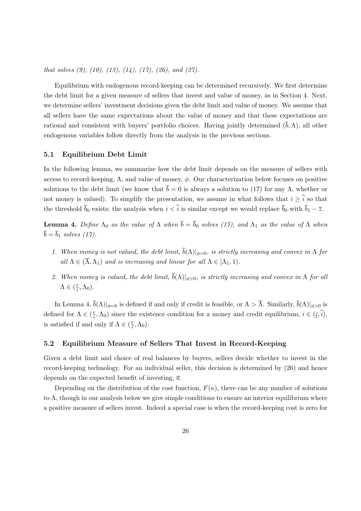that solves  $(9)$ ,  $(10)$ ,  $(13)$ ,  $(14)$ ,  $(17)$ ,  $(26)$ , and  $(27)$ .

Equilibrium with endogenous record-keeping can be determined recursively. We first determine the debt limit for a given measure of sellers that invest and value of money, as in Section 4. Next, we determine sellers' investment decisions given the debt limit and value of money. We assume that all sellers have the same expectations about the value of money and that these expectations are rational and consistent with buyers' portfolio choices. Having jointly determined  $(\bar{b}, \Lambda)$ , all other endogenous variables follow directly from the analysis in the previous sections.

#### 5.1 Equilibrium Debt Limit

In the following lemma, we summarize how the debt limit depends on the measure of sellers with access to record-keeping,  $\Lambda$ , and value of money,  $\phi$ . Our characterization below focuses on positive solutions to the debt limit (we know that  $\bar{b} = 0$  is always a solution to (17) for any Λ, whether or not money is valued). To simplify the presentation, we assume in what follows that  $i \geq \hat{i}$  so that the threshold  $\bar{b}_0$  exists; the analysis when  $i < \hat{i}$  is similar except we would replace  $\bar{b}_0$  with  $\bar{b}_1 - \bar{z}$ .

**Lemma 4.** Define  $\Lambda_0$  as the value of  $\Lambda$  when  $\bar{b} = \bar{b}_0$  solves (17), and  $\Lambda_1$  as the value of  $\Lambda$  when  $\overline{b} = \overline{b}_1$  solves (17).

- 1. When money is not valued, the debt limit,  $\bar{b}(\Lambda)|_{\phi=0}$ , is strictly increasing and convex in  $\Lambda$  for all  $\Lambda \in (\overline{\Lambda}, \Lambda_1)$  and is increasing and linear for all  $\Lambda \in [\Lambda_1, 1)$ .
- 2. When money is valued, the debt limit,  $\bar{b}(\Lambda)|_{\phi>0}$ , is strictly increasing and convex in  $\Lambda$  for all  $\Lambda \in (\frac{r}{i}$  $\frac{r}{i}, \Lambda_0$ ).

In Lemma 4,  $\bar{b}(\Lambda)|_{\phi=0}$  is defined if and only if credit is feasible, or  $\Lambda > \overline{\Lambda}$ . Similarly,  $\bar{b}(\Lambda)|_{\phi>0}$  is defined for  $\Lambda \in (\frac{r}{i})$  $\frac{r}{i}$ ,  $\Lambda_0$ ) since the existence condition for a money and credit equilibrium,  $i \in (i, i)$ , is satisfied if and only if  $\Lambda \in (\frac{r}{i})$  $\frac{r}{i}, \Lambda_0$ ).

### 5.2 Equilibrium Measure of Sellers That Invest in Record-Keeping

Given a debt limit and choice of real balances by buyers, sellers decide whether to invest in the record-keeping technology. For an individual seller, this decision is determined by (26) and hence depends on the expected benefit of investing,  $\bar{\kappa}$ .

Depending on the distribution of the cost function,  $F(\kappa)$ , there can be any number of solutions to  $\Lambda$ , though in our analysis below we give simple conditions to ensure an interior equilibrium where a positive measure of sellers invest. Indeed a special case is when the record-keeping cost is zero for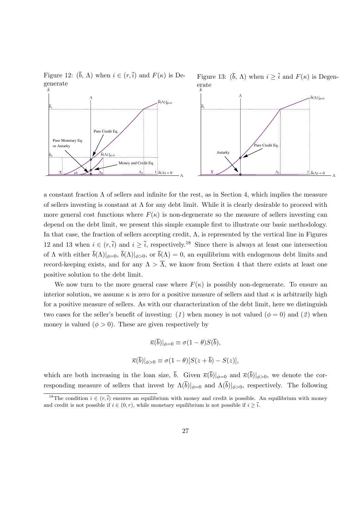Figure 12:  $(\bar{b}, \Lambda)$  when  $i \in (r, \bar{i})$  and  $F(\kappa)$  is Degenerate

Figure 13:  $(\bar{b}, \Lambda)$  when  $i \geq \bar{i}$  and  $F(\kappa)$  is Degenerate *b*



a constant fraction  $\Lambda$  of sellers and infinite for the rest, as in Section 4, which implies the measure of sellers investing is constant at  $\Lambda$  for any debt limit. While it is clearly desirable to proceed with more general cost functions where  $F(\kappa)$  is non-degenerate so the measure of sellers investing can depend on the debt limit, we present this simple example first to illustrate our basic methodology. In that case, the fraction of sellers accepting credit,  $\Lambda$ , is represented by the vertical line in Figures 12 and 13 when  $i \in (r, \bar{i})$  and  $i \geq \bar{i}$ , respectively.<sup>18</sup> Since there is always at least one intersection of  $\Lambda$  with either  $\bar{b}(\Lambda)|_{\phi=0}$ ,  $\bar{b}(\Lambda)|_{\phi>0}$ , or  $\bar{b}(\Lambda)=0$ , an equilibrium with endogenous debt limits and record-keeping exists, and for any  $\Lambda > \overline{\Lambda}$ , we know from Section 4 that there exists at least one positive solution to the debt limit.

We now turn to the more general case where  $F(\kappa)$  is possibly non-degenerate. To ensure an interior solution, we assume  $\kappa$  is zero for a positive measure of sellers and that  $\kappa$  is arbitrarily high for a positive measure of sellers. As with our characterization of the debt limit, here we distinguish two cases for the seller's benefit of investing: (1) when money is not valued ( $\phi = 0$ ) and (2) when money is valued  $(\phi > 0)$ . These are given respectively by

$$
\overline{\kappa}(\overline{b})|_{\phi=0} \equiv \sigma(1-\theta)S(\overline{b}),
$$
  

$$
\overline{\kappa}(\overline{b})|_{\phi>0} \equiv \sigma(1-\theta)[S(z+\overline{b})-S(z)],
$$

which are both increasing in the loan size,  $\bar{b}$ . Given  $\bar{\kappa}(\bar{b})|_{\phi=0}$  and  $\bar{\kappa}(\bar{b})|_{\phi>0}$ , we denote the corresponding measure of sellers that invest by  $\Lambda(\overline{b})|_{\phi=0}$  and  $\Lambda(\overline{b})|_{\phi>0}$ , respectively. The following

<sup>&</sup>lt;sup>18</sup>The condition  $i \in (r, \overline{i})$  ensures an equilibrium with money and credit is possible. An equilibrium with money and credit is not possible if  $i \in (0, r)$ , while monetary equilibrium is not possible if  $i \geq \overline{i}$ .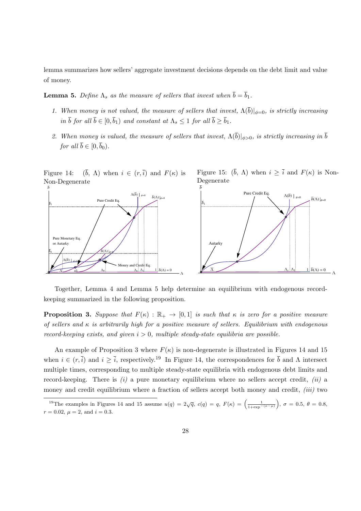lemma summarizes how sellers' aggregate investment decisions depends on the debt limit and value of money.

**Lemma 5.** Define  $\Lambda_s$  as the measure of sellers that invest when  $\bar{b} = \bar{b}_1$ .

- 1. When money is not valued, the measure of sellers that invest,  $\Lambda(\overline{b})|_{\phi=0}$ , is strictly increasing in  $\bar{b}$  for all  $\bar{b} \in [0, \bar{b}_1)$  and constant at  $\Lambda_s \leq 1$  for all  $\bar{b} \geq \bar{b}_1$ .
- 2. When money is valued, the measure of sellers that invest,  $\Lambda(\overline{b})|_{\phi>0}$ , is strictly increasing in  $\overline{b}$ for all  $\overline{b} \in [0, \overline{b}_0)$ .

Figure 14:  $(\bar{b}, \Lambda)$  when  $i \in (r, \bar{i})$  and  $F(\kappa)$  is Non-Degenerate *b*







Together, Lemma 4 and Lemma 5 help determine an equilibrium with endogenous recordkeeping summarized in the following proposition.

**Proposition 3.** Suppose that  $F(\kappa) : \mathbb{R}_+ \to [0,1]$  is such that  $\kappa$  is zero for a positive measure of sellers and  $\kappa$  is arbitrarily high for a positive measure of sellers. Equilibrium with endogenous record-keeping exists, and given  $i > 0$ , multiple steady-state equilibria are possible.

An example of Proposition 3 where  $F(\kappa)$  is non-degenerate is illustrated in Figures 14 and 15 when  $i \in (r, \overline{i})$  and  $i \geq \overline{i}$ , respectively.<sup>19</sup> In Figure 14, the correspondences for  $\overline{b}$  and  $\Lambda$  intersect multiple times, corresponding to multiple steady-state equilibria with endogenous debt limits and record-keeping. There is  $(i)$  a pure monetary equilibrium where no sellers accept credit,  $(ii)$  a money and credit equilibrium where a fraction of sellers accept both money and credit, *(iii)* two

<sup>&</sup>lt;sup>19</sup>The examples in Figures 14 and 15 assume  $u(q) = 2\sqrt{q}$ ,  $c(q) = q$ ,  $F(\kappa) = \left(\frac{1}{1+\exp^{-(\kappa-\mu)}}\right)$ ,  $\sigma = 0.5$ ,  $\theta = 0.8$ ,  $r = 0.02, \mu = 2, \text{ and } i = 0.3.$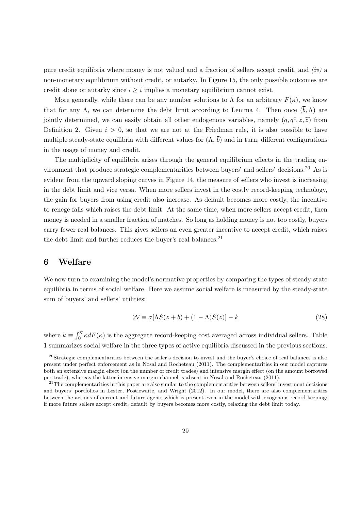pure credit equilibria where money is not valued and a fraction of sellers accept credit, and (iv) a non-monetary equilibrium without credit, or autarky. In Figure 15, the only possible outcomes are credit alone or autarky since  $i > \overline{i}$  implies a monetary equilibrium cannot exist.

More generally, while there can be any number solutions to  $\Lambda$  for an arbitrary  $F(\kappa)$ , we know that for any Λ, we can determine the debt limit according to Lemma 4. Then once  $(\bar{b}, \Lambda)$  are jointly determined, we can easily obtain all other endogenous variables, namely  $(q, q^c, z, \tilde{z})$  from Definition 2. Given  $i > 0$ , so that we are not at the Friedman rule, it is also possible to have multiple steady-state equilibria with different values for  $(\Lambda, \bar{b})$  and in turn, different configurations in the usage of money and credit.

The multiplicity of equilibria arises through the general equilibrium effects in the trading environment that produce strategic complementarities between buyers' and sellers' decisions.<sup>20</sup> As is evident from the upward sloping curves in Figure 14, the measure of sellers who invest is increasing in the debt limit and vice versa. When more sellers invest in the costly record-keeping technology, the gain for buyers from using credit also increase. As default becomes more costly, the incentive to renege falls which raises the debt limit. At the same time, when more sellers accept credit, then money is needed in a smaller fraction of matches. So long as holding money is not too costly, buyers carry fewer real balances. This gives sellers an even greater incentive to accept credit, which raises the debt limit and further reduces the buyer's real balances.<sup>21</sup>

### 6 Welfare

We now turn to examining the model's normative properties by comparing the types of steady-state equilibria in terms of social welfare. Here we assume social welfare is measured by the steady-state sum of buyers' and sellers' utilities:

$$
\mathcal{W} \equiv \sigma[\Lambda S(z + \bar{b}) + (1 - \Lambda)S(z)] - k \tag{28}
$$

where  $k \equiv \int_0^{\overline{\kappa}} \kappa dF(\kappa)$  is the aggregate record-keeping cost averaged across individual sellers. Table 1 summarizes social welfare in the three types of active equilibria discussed in the previous sections.

 $20\text{Strate}$ gic complementarities between the seller's decision to invest and the buyer's choice of real balances is also present under perfect enforcement as in Nosal and Rocheteau (2011). The complementarities in our model captures both an extensive margin effect (on the number of credit trades) and intensive margin effect (on the amount borrowed per trade), whereas the latter intensive margin channel is absent in Nosal and Rocheteau (2011).

 $21$ The complementarities in this paper are also similar to the complementarities between sellers' investment decisions and buyers' portfolios in Lester, Postlewaite, and Wright (2012). In our model, there are also complementarities between the actions of current and future agents which is present even in the model with exogenous record-keeping: if more future sellers accept credit, default by buyers becomes more costly, relaxing the debt limit today.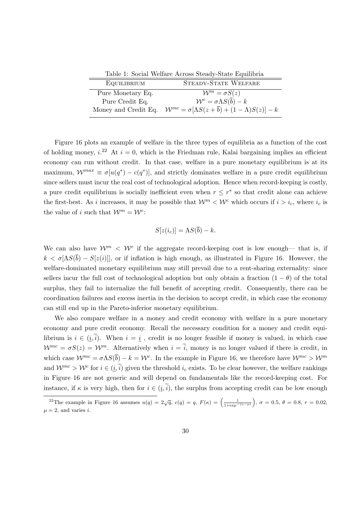Table 1: Social Welfare Across Steady-State Equilibria

| EQUILIBRIUM          | <b>STEADY-STATE WELFARE</b>                                                  |
|----------------------|------------------------------------------------------------------------------|
| Pure Monetary Eq.    | $\mathcal{W}^m = \sigma S(z)$                                                |
| Pure Credit Eq.      | $\mathcal{W}^c = \sigma \Lambda S(\overline{b}) - k$                         |
| Money and Credit Eq. | $\mathcal{W}^{mc} = \sigma[\Lambda S(z+\overline{b}) + (1-\Lambda)S(z)] - k$ |

Figure 16 plots an example of welfare in the three types of equilibria as a function of the cost of holding money,  $i^{22}$  At  $i = 0$ , which is the Friedman rule, Kalai bargaining implies an efficient economy can run without credit. In that case, welfare in a pure monetary equilibrium is at its maximum,  $\mathcal{W}^{max} \equiv \sigma[u(q^*) - c(q^*)]$ , and strictly dominates welfare in a pure credit equilibrium since sellers must incur the real cost of technological adoption. Hence when record-keeping is costly, a pure credit equilibrium is socially inefficient even when  $r \leq r^*$  so that credit alone can achieve the first-best. As i increases, it may be possible that  $\mathcal{W}^m < \mathcal{W}^c$  which occurs if  $i > i_c$ , where  $i_c$  is the value of *i* such that  $\mathcal{W}^m = \mathcal{W}^c$ :

$$
S[z(i_c)] = \Lambda S(\overline{b}) - k.
$$

We can also have  $\mathcal{W}^m$  <  $\mathcal{W}^c$  if the aggregate record-keeping cost is low enough— that is, if  $k < \sigma[\Delta S(\bar{b}) - S(z(i))]$ , or if inflation is high enough, as illustrated in Figure 16. However, the welfare-dominated monetary equilibrium may still prevail due to a rent-sharing externality: since sellers incur the full cost of technological adoption but only obtain a fraction  $(1 - \theta)$  of the total surplus, they fail to internalize the full benefit of accepting credit. Consequently, there can be coordination failures and excess inertia in the decision to accept credit, in which case the economy can still end up in the Pareto-inferior monetary equilibrium.

We also compare welfare in a money and credit economy with welfare in a pure monetary economy and pure credit economy. Recall the necessary condition for a money and credit equilibrium is  $i \in (i, \tilde{i})$ . When  $i = i$ , credit is no longer feasible if money is valued, in which case  $\mathcal{W}^{mc} = \sigma S(z) = \mathcal{W}^m$ . Alternatively when  $i = \tilde{i}$ , money is no longer valued if there is credit, in which case  $\mathcal{W}^{mc} = \sigma \Lambda S(\bar{b}) - k = \mathcal{W}^c$ . In the example in Figure 16, we therefore have  $\mathcal{W}^{mc} > \mathcal{W}^m$ and  $\mathcal{W}^{mc} > \mathcal{W}^c$  for  $i \in (\underline{i}, \tilde{i})$  given the threshold  $i_c$  exists. To be clear however, the welfare rankings in Figure 16 are not generic and will depend on fundamentals like the record-keeping cost. For instance, if  $\kappa$  is very high, then for  $i \in (i, \tilde{i})$ , the surplus from accepting credit can be low enough

<sup>&</sup>lt;sup>22</sup>The example in Figure 16 assumes  $u(q) = 2\sqrt{q}$ ,  $c(q) = q$ ,  $F(\kappa) = \left(\frac{1}{1+\exp^{-{(\kappa-\mu)}}}\right)$ ,  $\sigma = 0.5$ ,  $\theta = 0.8$ ,  $r = 0.02$ ,  $\mu = 2$ , and varies *i*.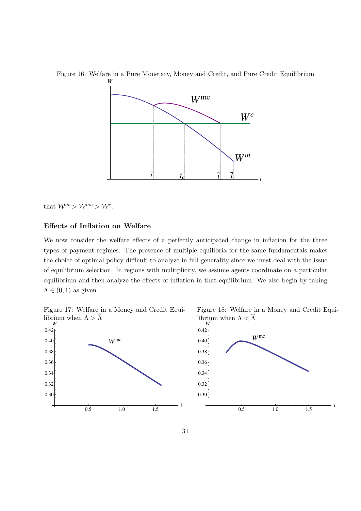

Figure 16: Welfare in a Pure Monetary, Money and Credit, and Pure Credit Equilibrium

that  $\mathcal{W}^m > \mathcal{W}^{mc} > \mathcal{W}^c$ .

### Effects of Inflation on Welfare

We now consider the welfare effects of a perfectly anticipated change in inflation for the three types of payment regimes. The presence of multiple equilibria for the same fundamentals makes the choice of optimal policy difficult to analyze in full generality since we must deal with the issue of equilibrium selection. In regions with multiplicity, we assume agents coordinate on a particular equilibrium and then analyze the effects of inflation in that equilibrium. We also begin by taking  $\Lambda \in (0,1)$  as given.









0.5 1.0 1.5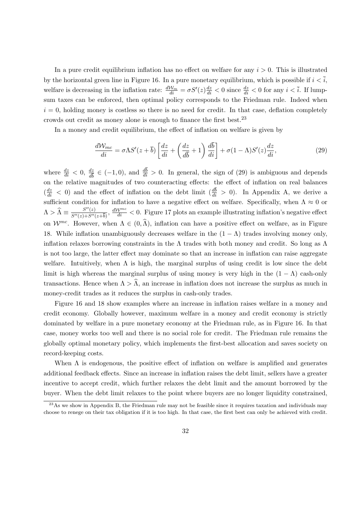In a pure credit equilibrium inflation has no effect on welfare for any  $i > 0$ . This is illustrated by the horizontal green line in Figure 16. In a pure monetary equilibrium, which is possible if  $i < \overline{i}$ , welfare is decreasing in the inflation rate:  $\frac{dW_m}{di} = \sigma S'(z)\frac{dz}{di} < 0$  since  $\frac{dz}{di} < 0$  for any  $i < \overline{i}$ . If lumpsum taxes can be enforced, then optimal policy corresponds to the Friedman rule. Indeed when  $i = 0$ , holding money is costless so there is no need for credit. In that case, deflation completely crowds out credit as money alone is enough to finance the first best.<sup>23</sup>

In a money and credit equilibrium, the effect of inflation on welfare is given by

$$
\frac{d\mathcal{W}_{mc}}{di} = \sigma \Lambda S'(z + \bar{b}) \left[ \frac{dz}{di} + \left( \frac{dz}{d\bar{b}} + 1 \right) \frac{d\bar{b}}{di} \right] + \sigma (1 - \Lambda) S'(z) \frac{dz}{di},\tag{29}
$$

where  $\frac{dz}{di} < 0$ ,  $\frac{dz}{d\bar{b}} \in (-1,0)$ , and  $\frac{db}{di} > 0$ . In general, the sign of (29) is ambiguous and depends on the relative magnitudes of two counteracting effects: the effect of inflation on real balances  $\left(\frac{dz}{di} < 0\right)$  and the effect of inflation on the debt limit  $\left(\frac{db}{di} > 0\right)$ . In Appendix A, we derive a sufficient condition for inflation to have a negative effect on welfare. Specifically, when  $\Lambda \approx 0$  or  $\Lambda > \widehat{\Lambda} \equiv \frac{S''(z)}{S''(z) + S''(z)}$  $\frac{S''(z)}{S''(z)+S''(z+\overline{b})}, \frac{d\mathcal{W}^{mc}}{di} < 0.$  Figure 17 plots an example illustrating inflation's negative effect on  $\mathcal{W}^{mc}$ . However, when  $\Lambda \in (0,\widehat{\Lambda})$ , inflation can have a positive effect on welfare, as in Figure 18. While inflation unambiguously decreases welfare in the  $(1 - \Lambda)$  trades involving money only, inflation relaxes borrowing constraints in the  $\Lambda$  trades with both money and credit. So long as  $\Lambda$ is not too large, the latter effect may dominate so that an increase in inflation can raise aggregate welfare. Intuitively, when  $\Lambda$  is high, the marginal surplus of using credit is low since the debt limit is high whereas the marginal surplus of using money is very high in the  $(1 - \Lambda)$  cash-only transactions. Hence when  $\Lambda > \hat{\Lambda}$ , an increase in inflation does not increase the surplus as much in money-credit trades as it reduces the surplus in cash-only trades.

Figure 16 and 18 show examples where an increase in inflation raises welfare in a money and credit economy. Globally however, maximum welfare in a money and credit economy is strictly dominated by welfare in a pure monetary economy at the Friedman rule, as in Figure 16. In that case, money works too well and there is no social role for credit. The Friedman rule remains the globally optimal monetary policy, which implements the first-best allocation and saves society on record-keeping costs.

When  $\Lambda$  is endogenous, the positive effect of inflation on welfare is amplified and generates additional feedback effects. Since an increase in inflation raises the debt limit, sellers have a greater incentive to accept credit, which further relaxes the debt limit and the amount borrowed by the buyer. When the debt limit relaxes to the point where buyers are no longer liquidity constrained,

 $^{23}$ As we show in Appendix B, the Friedman rule may not be feasible since it requires taxation and individuals may choose to renege on their tax obligation if it is too high. In that case, the first best can only be achieved with credit.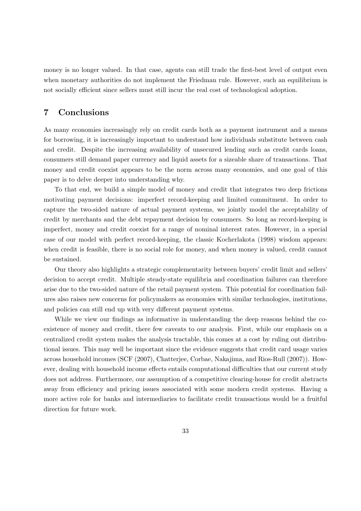money is no longer valued. In that case, agents can still trade the first-best level of output even when monetary authorities do not implement the Friedman rule. However, such an equilibrium is not socially efficient since sellers must still incur the real cost of technological adoption.

### 7 Conclusions

As many economies increasingly rely on credit cards both as a payment instrument and a means for borrowing, it is increasingly important to understand how individuals substitute between cash and credit. Despite the increasing availability of unsecured lending such as credit cards loans, consumers still demand paper currency and liquid assets for a sizeable share of transactions. That money and credit coexist appears to be the norm across many economies, and one goal of this paper is to delve deeper into understanding why.

To that end, we build a simple model of money and credit that integrates two deep frictions motivating payment decisions: imperfect record-keeping and limited commitment. In order to capture the two-sided nature of actual payment systems, we jointly model the acceptability of credit by merchants and the debt repayment decision by consumers. So long as record-keeping is imperfect, money and credit coexist for a range of nominal interest rates. However, in a special case of our model with perfect record-keeping, the classic Kocherlakota (1998) wisdom appears: when credit is feasible, there is no social role for money, and when money is valued, credit cannot be sustained.

Our theory also highlights a strategic complementarity between buyers' credit limit and sellers' decision to accept credit. Multiple steady-state equilibria and coordination failures can therefore arise due to the two-sided nature of the retail payment system. This potential for coordination failures also raises new concerns for policymakers as economies with similar technologies, institutions, and policies can still end up with very different payment systems.

While we view our findings as informative in understanding the deep reasons behind the coexistence of money and credit, there few caveats to our analysis. First, while our emphasis on a centralized credit system makes the analysis tractable, this comes at a cost by ruling out distributional issues. This may well be important since the evidence suggests that credit card usage varies across household incomes (SCF (2007), Chatterjee, Corbae, Nakajima, and Rios-Rull (2007)). However, dealing with household income effects entails computational difficulties that our current study does not address. Furthermore, our assumption of a competitive clearing-house for credit abstracts away from efficiency and pricing issues associated with some modern credit systems. Having a more active role for banks and intermediaries to facilitate credit transactions would be a fruitful direction for future work.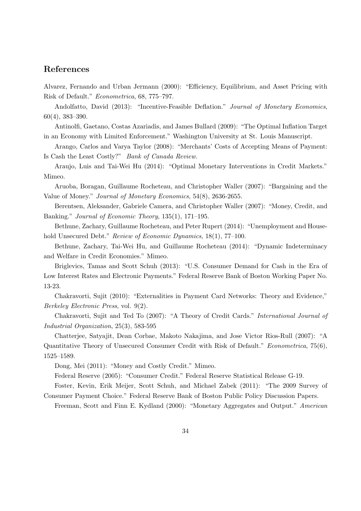### References

Alvarez, Fernando and Urban Jermann (2000): "Efficiency, Equilibrium, and Asset Pricing with Risk of Default." Econometrica, 68, 775–797.

Andolfatto, David (2013): "Incentive-Feasible Deflation." Journal of Monetary Economics, 60(4), 383–390.

Antinolfi, Gaetano, Costas Azariadis, and James Bullard (2009): "The Optimal Inflation Target in an Economy with Limited Enforcement." Washington University at St. Louis Manuscript.

Arango, Carlos and Varya Taylor (2008): "Merchants' Costs of Accepting Means of Payment: Is Cash the Least Costly?" Bank of Canada Review.

Araujo, Luis and Tai-Wei Hu (2014): "Optimal Monetary Interventions in Credit Markets." Mimeo.

Aruoba, Boragan, Guillaume Rocheteau, and Christopher Waller (2007): "Bargaining and the Value of Money." Journal of Monetary Economics, 54(8), 2636-2655.

Berentsen, Aleksander, Gabriele Camera, and Christopher Waller (2007): "Money, Credit, and Banking." Journal of Economic Theory, 135(1), 171–195.

Bethune, Zachary, Guillaume Rocheteau, and Peter Rupert (2014): "Unemployment and Household Unsecured Debt." Review of Economic Dynamics, 18(1), 77-100.

Bethune, Zachary, Tai-Wei Hu, and Guillaume Rocheteau (2014): "Dynamic Indeterminacy and Welfare in Credit Economies." Mimeo.

Briglevics, Tamas and Scott Schuh (2013): "U.S. Consumer Demand for Cash in the Era of Low Interest Rates and Electronic Payments." Federal Reserve Bank of Boston Working Paper No. 13-23.

Chakravorti, Sujit (2010): "Externalities in Payment Card Networks: Theory and Evidence," Berkeley Electronic Press, vol. 9(2).

Chakravorti, Sujit and Ted To (2007): "A Theory of Credit Cards." International Journal of Industrial Organization, 25(3), 583-595

Chatterjee, Satyajit, Dean Corbae, Makoto Nakajima, and Jose Victor Rios-Rull (2007): "A Quantitative Theory of Unsecured Consumer Credit with Risk of Default." Econometrica, 75(6), 1525–1589.

Dong, Mei (2011): "Money and Costly Credit." Mimeo.

Federal Reserve (2005): "Consumer Credit." Federal Reserve Statistical Release G-19.

Foster, Kevin, Erik Meijer, Scott Schuh, and Michael Zabek (2011): "The 2009 Survey of Consumer Payment Choice." Federal Reserve Bank of Boston Public Policy Discussion Papers.

Freeman, Scott and Finn E. Kydland (2000): "Monetary Aggregates and Output." American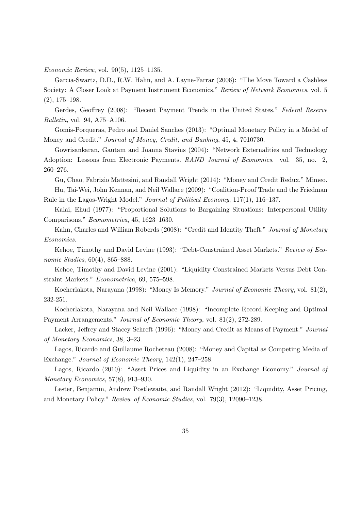Economic Review, vol. 90(5), 1125–1135.

Garcia-Swartz, D.D., R.W. Hahn, and A. Layne-Farrar (2006): "The Move Toward a Cashless Society: A Closer Look at Payment Instrument Economics." Review of Network Economics, vol. 5 (2), 175–198.

Gerdes, Geoffrey (2008): "Recent Payment Trends in the United States." Federal Reserve Bulletin, vol. 94, A75–A106.

Gomis-Porqueras, Pedro and Daniel Sanches (2013): "Optimal Monetary Policy in a Model of Money and Credit." Journal of Money, Credit, and Banking, 45, 4, 7010730.

Gowrisankaran, Gautam and Joanna Stavins (2004): "Network Externalities and Technology Adoption: Lessons from Electronic Payments. RAND Journal of Economics. vol. 35, no. 2, 260–276.

Gu, Chao, Fabrizio Mattesini, and Randall Wright (2014): "Money and Credit Redux." Mimeo.

Hu, Tai-Wei, John Kennan, and Neil Wallace (2009): "Coalition-Proof Trade and the Friedman Rule in the Lagos-Wright Model." Journal of Political Economy, 117(1), 116–137.

Kalai, Ehud (1977): "Proportional Solutions to Bargaining Situations: Interpersonal Utility Comparisons." Econometrica, 45, 1623–1630.

Kahn, Charles and William Roberds (2008): "Credit and Identity Theft." Journal of Monetary Economics.

Kehoe, Timothy and David Levine (1993): "Debt-Constrained Asset Markets." Review of Economic Studies, 60(4), 865–888.

Kehoe, Timothy and David Levine (2001): "Liquidity Constrained Markets Versus Debt Constraint Markets." Econometrica, 69, 575–598.

Kocherlakota, Narayana (1998): "Money Is Memory." Journal of Economic Theory, vol. 81(2), 232-251.

Kocherlakota, Narayana and Neil Wallace (1998): "Incomplete Record-Keeping and Optimal Payment Arrangements." Journal of Economic Theory, vol. 81(2), 272-289.

Lacker, Jeffrey and Stacey Schreft (1996): "Money and Credit as Means of Payment." Journal of Monetary Economics, 38, 3–23.

Lagos, Ricardo and Guillaume Rocheteau (2008): "Money and Capital as Competing Media of Exchange." Journal of Economic Theory, 142(1), 247–258.

Lagos, Ricardo (2010): "Asset Prices and Liquidity in an Exchange Economy." Journal of Monetary Economics, 57(8), 913–930.

Lester, Benjamin, Andrew Postlewaite, and Randall Wright (2012): "Liquidity, Asset Pricing, and Monetary Policy." Review of Economic Studies, vol. 79(3), 12090–1238.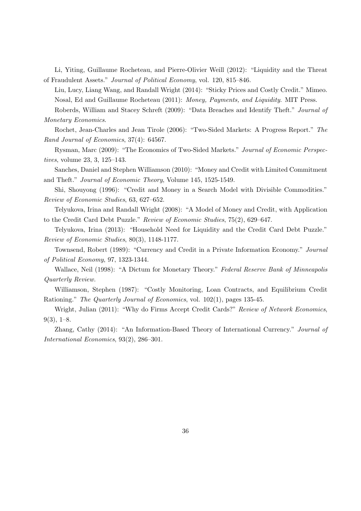Li, Yiting, Guillaume Rocheteau, and Pierre-Olivier Weill (2012): "Liquidity and the Threat of Fraudulent Assets." Journal of Political Economy, vol. 120, 815–846.

Liu, Lucy, Liang Wang, and Randall Wright (2014): "Sticky Prices and Costly Credit." Mimeo. Nosal, Ed and Guillaume Rocheteau (2011): Money, Payments, and Liquidity. MIT Press.

Roberds, William and Stacey Schreft (2009): "Data Breaches and Identify Theft." Journal of Monetary Economics.

Rochet, Jean-Charles and Jean Tirole (2006): "Two-Sided Markets: A Progress Report." The Rand Journal of Economics, 37(4): 64567.

Rysman, Marc (2009): "The Economics of Two-Sided Markets." Journal of Economic Perspectives, volume 23, 3, 125–143.

Sanches, Daniel and Stephen Williamson (2010): "Money and Credit with Limited Commitment and Theft." Journal of Economic Theory, Volume 145, 1525-1549.

Shi, Shouyong (1996): "Credit and Money in a Search Model with Divisible Commodities." Review of Economic Studies, 63, 627–652.

Telyukova, Irina and Randall Wright (2008): "A Model of Money and Credit, with Application to the Credit Card Debt Puzzle." Review of Economic Studies, 75(2), 629–647.

Telyukova, Irina (2013): "Household Need for Liquidity and the Credit Card Debt Puzzle." Review of Economic Studies, 80(3), 1148-1177.

Townsend, Robert (1989): "Currency and Credit in a Private Information Economy." Journal of Political Economy, 97, 1323-1344.

Wallace, Neil (1998): "A Dictum for Monetary Theory." Federal Reserve Bank of Minneapolis Quarterly Review.

Williamson, Stephen (1987): "Costly Monitoring, Loan Contracts, and Equilibrium Credit Rationing." The Quarterly Journal of Economics, vol. 102(1), pages 135-45.

Wright, Julian (2011): "Why do Firms Accept Credit Cards?" Review of Network Economics,  $9(3), 1-8.$ 

Zhang, Cathy (2014): "An Information-Based Theory of International Currency." Journal of International Economics, 93(2), 286–301.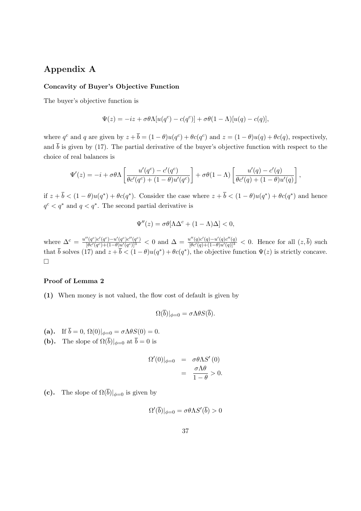### Appendix A

### Concavity of Buyer's Objective Function

The buyer's objective function is

$$
\Psi(z) = -iz + \sigma \theta \Lambda[u(q^c) - c(q^c)] + \sigma \theta (1 - \Lambda)[u(q) - c(q)],
$$

where  $q^c$  and q are given by  $z + \bar{b} = (1 - \theta)u(q^c) + \theta c(q^c)$  and  $z = (1 - \theta)u(q) + \theta c(q)$ , respectively, and  $\bar{b}$  is given by (17). The partial derivative of the buyer's objective function with respect to the choice of real balances is

$$
\Psi'(z) = -i + \sigma \theta \Lambda \left[ \frac{u'(q^c) - c'(q^c)}{\theta c'(q^c) + (1 - \theta)u'(q^c)} \right] + \sigma \theta (1 - \Lambda) \left[ \frac{u'(q) - c'(q)}{\theta c'(q) + (1 - \theta)u'(q)} \right],
$$

if  $z + \bar{b} < (1 - \theta)u(q^*) + \theta c(q^*)$ . Consider the case where  $z + \bar{b} < (1 - \theta)u(q^*) + \theta c(q^*)$  and hence  $q^c < q^*$  and  $q < q^*$ . The second partial derivative is

$$
\Psi''(z) = \sigma \theta [\Lambda \Delta^c + (1 - \Lambda)\Delta] < 0,
$$

where  $\Delta^{c} = \frac{u''(q^{c})c'(q^{c})-u'(q^{c})c''(q^{c})}{[\theta c'(q^{c})+(1-\theta)u'(q^{c})]^{3}}$  $\frac{d'(q^c)c'(q^c)-u'(q^c)c''(q^c)}{[\theta c'(q^c)+(1-\theta)u'(q^c)]^3}$  < 0 and  $\Delta = \frac{u''(q)c'(q)-u'(q)c''(q)}{[\theta c'(q)+(1-\theta)u'(q)]^3}$  < 0. Hence for all  $(z,\bar{b})$  such that  $\bar{b}$  solves (17) and  $z + \bar{b} < (1 - \theta)u(q^*) + \theta c(q^*)$ , the objective function  $\Psi(z)$  is strictly concave.  $\Box$ 

#### Proof of Lemma 2

(1) When money is not valued, the flow cost of default is given by

$$
\Omega(\overline{b})|_{\phi=0} = \sigma \Lambda \theta S(\overline{b}).
$$

- (a). If  $\overline{b} = 0$ ,  $\Omega(0)|_{\phi=0} = \sigma \Lambda \theta S(0) = 0$ .
- (**b**). The slope of  $\Omega(\overline{b})|_{\phi=0}$  at  $\overline{b}=0$  is

$$
\Omega'(0)|_{\phi=0} = \sigma \theta \Lambda S'(0)
$$
  
= 
$$
\frac{\sigma \Lambda \theta}{1-\theta} > 0.
$$

(c). The slope of  $\Omega(\overline{b})|_{\phi=0}$  is given by

$$
\Omega'(\overline{b})|_{\phi=0} = \sigma \theta \Lambda S'(\overline{b}) > 0
$$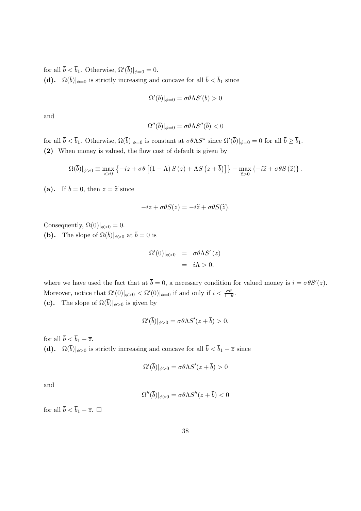for all  $\bar{b} < \bar{b}_1$ . Otherwise,  $\Omega'(\bar{b})|_{\phi=0} = 0$ . (d).  $\Omega(\bar{b})|_{\phi=0}$  is strictly increasing and concave for all  $\bar{b} < \bar{b}_1$  since

$$
\Omega'(\overline{b})|_{\phi=0} = \sigma \theta \Lambda S'(\overline{b}) > 0
$$

and

$$
\Omega''(\overline{b})|_{\phi=0} = \sigma \theta \Lambda S''(\overline{b}) < 0
$$

for all  $\bar{b} < \bar{b}_1$ . Otherwise,  $\Omega(\bar{b})|_{\phi=0}$  is constant at  $\sigma \theta \Lambda S^*$  since  $\Omega'(\bar{b})|_{\phi=0} = 0$  for all  $\bar{b} \ge \bar{b}_1$ . (2) When money is valued, the flow cost of default is given by

$$
\Omega(\overline{b})|_{\phi>0} \equiv \max_{z>0} \left\{ -iz + \sigma\theta \left[ (1-\Lambda) S(z) + \Lambda S(z+\overline{b}) \right] \right\} - \max_{\widetilde{z}>0} \left\{ -i\widetilde{z} + \sigma\theta S(\widetilde{z}) \right\}.
$$

(a). If  $\overline{b} = 0$ , then  $z = \tilde{z}$  since

$$
-iz + \sigma \theta S(z) = -i\widetilde{z} + \sigma \theta S(\widetilde{z}).
$$

Consequently,  $\Omega(0)|_{\phi>0} = 0$ . (b). The slope of  $\Omega(\overline{b})|_{\phi>0}$  at  $\overline{b}=0$  is

$$
\Omega'(0)|_{\phi>0} = \sigma \theta \Lambda S'(z)
$$
  
=  $i\Lambda > 0,$ 

where we have used the fact that at  $\bar{b} = 0$ , a necessary condition for valued money is  $i = \sigma \theta S'(z)$ . Moreover, notice that  $\Omega'(0)|_{\phi>0} < \Omega'(0)|_{\phi=0}$  if and only if  $i < \frac{\sigma\theta}{1-\theta}$ . (c). The slope of  $\Omega(\overline{b})|_{\phi>0}$  is given by

$$
\Omega'(\overline{b})|_{\phi>0} = \sigma \theta \Lambda S'(z + \overline{b}) > 0,
$$

for all  $\bar{b} < \bar{b}_1 - \bar{z}$ . (d).  $\Omega(\bar{b})|_{\phi>0}$  is strictly increasing and concave for all  $\bar{b} < \bar{b}_1 - \bar{z}$  since

$$
\Omega'(\overline{b})|_{\phi>0} = \sigma \theta \Lambda S'(z + \overline{b}) > 0
$$

and

$$
\Omega''(\overline{b})|_{\phi>0} = \sigma \theta \Lambda S''(z+\overline{b}) < 0
$$

for all  $\bar{b} < \bar{b}_1 - \bar{z}$ .  $\square$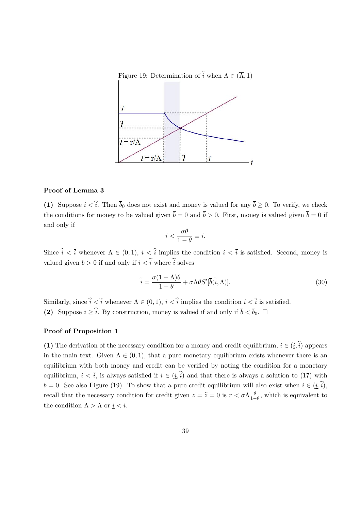Figure 19: Determination of  $\widetilde{i}$  when  $\Lambda \in (\overline{\Lambda}, 1)$ 



### Proof of Lemma 3

(1) Suppose  $i < \hat{i}$ . Then  $\bar{b}_0$  does not exist and money is valued for any  $\bar{b} \geq 0$ . To verify, we check the conditions for money to be valued given  $\bar{b} = 0$  and  $\bar{b} > 0$ . First, money is valued given  $\bar{b} = 0$  if and only if

$$
i < \frac{\sigma \theta}{1 - \theta} \equiv \overline{i}.
$$

Since  $\hat{i} < \overline{i}$  whenever  $\Lambda \in (0, 1), i < \hat{i}$  implies the condition  $i < \overline{i}$  is satisfied. Second, money is valued given  $\bar{b} > 0$  if and only if  $i < \tilde{i}$  where  $\tilde{i}$  solves

$$
\widetilde{i} = \frac{\sigma(1 - \Lambda)\theta}{1 - \theta} + \sigma \Lambda \theta S'[\overline{b}(\widetilde{i}, \Lambda)].
$$
\n(30)

Similarly, since  $\hat{i} < \tilde{i}$  whenever  $\Lambda \in (0, 1), i < \hat{i}$  implies the condition  $i < \tilde{i}$  is satisfied. (2) Suppose  $i \geq \hat{i}$ . By construction, money is valued if and only if  $\overline{b} < \overline{b}_0$ .

### Proof of Proposition 1

(1) The derivation of the necessary condition for a money and credit equilibrium,  $i \in (i, \tilde{i})$  appears in the main text. Given  $\Lambda \in (0,1)$ , that a pure monetary equilibrium exists whenever there is an equilibrium with both money and credit can be verified by noting the condition for a monetary equilibrium,  $i < \overline{i}$ , is always satisfied if  $i \in (i, \tilde{i})$  and that there is always a solution to (17) with  $\overline{b} = 0$ . See also Figure (19). To show that a pure credit equilibrium will also exist when  $i \in (i, \tilde{i})$ , recall that the necessary condition for credit given  $z = \tilde{z} = 0$  is  $r < \sigma \Lambda \frac{\theta}{1 - \theta}$  $\frac{\theta}{1-\theta}$ , which is equivalent to the condition  $\Lambda > \overline{\Lambda}$  or  $i < \overline{i}$ .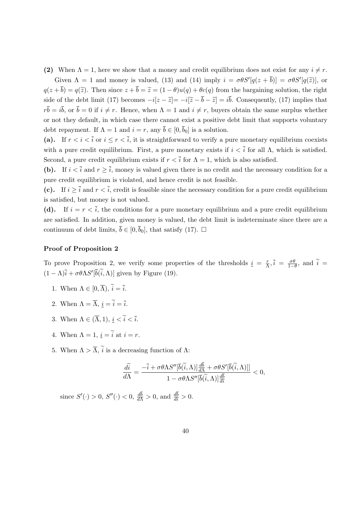(2) When  $\Lambda = 1$ , here we show that a money and credit equilibrium does not exist for any  $i \neq r$ .

Given  $\Lambda = 1$  and money is valued, (13) and (14) imply  $i = \sigma \theta S'[q(z + \bar{b})] = \sigma \theta S'[q(\tilde{z})]$ , or  $q(z + \bar{b}) = q(\tilde{z})$ . Then since  $z + \bar{b} = \tilde{z} = (1 - \theta)u(q) + \theta c(q)$  from the bargaining solution, the right side of the debt limit (17) becomes  $-i[z - \tilde{z}] = -i[\tilde{z} - \bar{b} - \tilde{z}] = i\bar{b}$ . Consequently, (17) implies that  $r\overline{b} = i\overline{b}$ , or  $\overline{b} = 0$  if  $i \neq r$ . Hence, when  $\Lambda = 1$  and  $i \neq r$ , buyers obtain the same surplus whether or not they default, in which case there cannot exist a positive debt limit that supports voluntary debt repayment. If  $\Lambda = 1$  and  $i = r$ , any  $\bar{b} \in [0, \bar{b}_0]$  is a solution.

(a). If  $r < i < \overline{i}$  or  $i \le r < \overline{i}$ , it is straightforward to verify a pure monetary equilibrium coexists with a pure credit equilibrium. First, a pure monetary exists if  $i < \overline{i}$  for all  $\Lambda$ , which is satisfied. Second, a pure credit equilibrium exists if  $r < \bar{i}$  for  $\Lambda = 1$ , which is also satisfied.

(b). If  $i < \overline{i}$  and  $r \geq \overline{i}$ , money is valued given there is no credit and the necessary condition for a pure credit equilibrium is violated, and hence credit is not feasible.

(c). If  $i > \overline{i}$  and  $r < \overline{i}$ , credit is feasible since the necessary condition for a pure credit equilibrium is satisfied, but money is not valued.

(d). If  $i = r \leq \overline{i}$ , the conditions for a pure monetary equilibrium and a pure credit equilibrium are satisfied. In addition, given money is valued, the debt limit is indeterminate since there are a continuum of debt limits,  $\bar{b} \in [0, \bar{b}_0]$ , that satisfy (17).  $\Box$ 

### Proof of Proposition 2

To prove Proposition 2, we verify some properties of the thresholds  $i = \frac{r}{\Delta}$  $\frac{r}{\Lambda}, \overline{i} = \frac{\sigma \theta}{1 - \theta}$  $\frac{\sigma\theta}{1-\theta}$ , and  $i=$  $(1 - \Lambda)\overline{i} + \sigma \theta \Lambda S'[\overline{b}(\overline{i}, \Lambda)]$  given by Figure (19).

- 1. When  $\Lambda \in [0, \overline{\Lambda})$ ,  $\widetilde{i} = \overline{i}$ .
- 2. When  $\Lambda = \overline{\Lambda}$ ,  $i = \tilde{i} = \overline{i}$ .
- 3. When  $\Lambda \in (\overline{\Lambda}, 1), i < \tilde{i} < \tilde{i}$ .
- 4. When  $\Lambda = 1$ ,  $i = \tilde{i}$  at  $i = r$ .
- 5. When  $\Lambda > \overline{\Lambda}$ ,  $\tilde{i}$  is a decreasing function of  $\Lambda$ :

$$
\frac{d\widetilde{i}}{d\Lambda} = \frac{-\overline{i} + \sigma\theta\Lambda S''[\overline{b}(\widetilde{i}, \Lambda)]\frac{d\overline{b}}{d\Lambda} + \sigma\theta S'[\overline{b}(\widetilde{i}, \Lambda)]]}{1 - \sigma\theta\Lambda S''[\overline{b}(\widetilde{i}, \Lambda)]\frac{d\overline{b}}{d\overline{i}}} < 0,
$$

since  $S'(\cdot) > 0$ ,  $S''(\cdot) < 0$ ,  $\frac{db}{d\Lambda} > 0$ , and  $\frac{db}{d\lambda} > 0$ .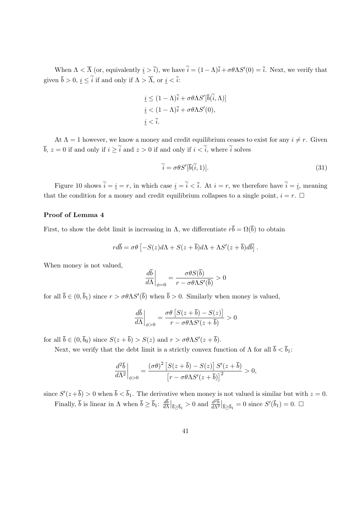When  $\Lambda < \overline{\Lambda}$  (or, equivalently  $i > \overline{i}$ ), we have  $\tilde{i} = (1 - \Lambda)\overline{i} + \sigma \theta \Lambda S'(0) = \overline{i}$ . Next, we verify that given  $\bar{b} > 0$ ,  $i \leq \tilde{i}$  if and only if  $\Lambda > \overline{\Lambda}$ , or  $i < \tilde{i}$ :

$$
\underline{i} \le (1 - \Lambda)\overline{i} + \sigma \theta \Lambda S'[\overline{b}(\widetilde{i}, \Lambda)]
$$
  

$$
\underline{i} < (1 - \Lambda)\overline{i} + \sigma \theta \Lambda S'(0),
$$
  

$$
\underline{i} < \overline{i}.
$$

At  $\Lambda = 1$  however, we know a money and credit equilibrium ceases to exist for any  $i \neq r$ . Given  $\overline{b}$ ,  $z = 0$  if and only if  $i \geq \tilde{i}$  and  $z > 0$  if and only if  $i < \tilde{i}$ , where  $\tilde{i}$  solves

$$
\widetilde{i} = \sigma \theta S'[\overline{b}(\widetilde{i}, 1)].\tag{31}
$$

Figure 10 shows  $\tilde{i} = \underline{i} = r$ , in which case  $\underline{i} = \tilde{i} < \overline{i}$ . At  $i = r$ , we therefore have  $\tilde{i} = \underline{i}$ , meaning that the condition for a money and credit equilibrium collapses to a single point,  $i = r$ .  $\Box$ 

### Proof of Lemma 4

First, to show the debt limit is increasing in  $\Lambda$ , we differentiate  $r\overline{b} = \Omega(\overline{b})$  to obtain

$$
rd\overline{b} = \sigma\theta \left[ -S(z)d\Lambda + S(z+\overline{b})d\Lambda + \Lambda S'(z+\overline{b})d\overline{b} \right].
$$

When money is not valued,

$$
\left. \frac{d\bar{b}}{d\Lambda} \right|_{\phi=0} = \frac{\sigma \theta S(\bar{b})}{r - \sigma \theta \Lambda S'(\bar{b})} > 0
$$

for all  $\bar{b} \in (0, \bar{b}_1)$  since  $r > \sigma \theta \Lambda S'(\bar{b})$  when  $\bar{b} > 0$ . Similarly when money is valued,

$$
\left. \frac{d\overline{b}}{d\Lambda} \right|_{\phi > 0} = \frac{\sigma \theta \left[ S(z + \overline{b}) - S(z) \right]}{r - \sigma \theta \Lambda S'(z + \overline{b})} > 0
$$

for all  $\bar{b} \in (0, \bar{b}_0)$  since  $S(z + \bar{b}) > S(z)$  and  $r > \sigma \theta \Lambda S'(z + \bar{b})$ .

Next, we verify that the debt limit is a strictly convex function of  $\Lambda$  for all  $\bar{b} < \bar{b}_1$ :

$$
\left. \frac{d^2 \overline{b}}{d \Lambda^2} \right|_{\phi > 0} = \frac{(\sigma \theta)^2 \left[ S(z + \overline{b}) - S(z) \right] S'(z + \overline{b})}{\left[ r - \sigma \theta \Lambda S'(z + \overline{b}) \right]^2} > 0,
$$

since  $S'(z+\overline{b}) > 0$  when  $\overline{b} < \overline{b}_1$ . The derivative when money is not valued is similar but with  $z = 0$ . Finally,  $\bar{b}$  is linear in  $\Lambda$  when  $\bar{b} \geq \bar{b}_1$ :  $\frac{db}{d\Lambda}$  $\frac{d\bar{b}}{d\Lambda}\Big|_{\bar{b}\geq \bar{b}_1} > 0$  and  $\frac{d^2\bar{b}}{d\Lambda^2}\Big|_{\bar{b}\geq \bar{b}_1} = 0$  since  $S'(\bar{b}_1) = 0$ .  $\Box$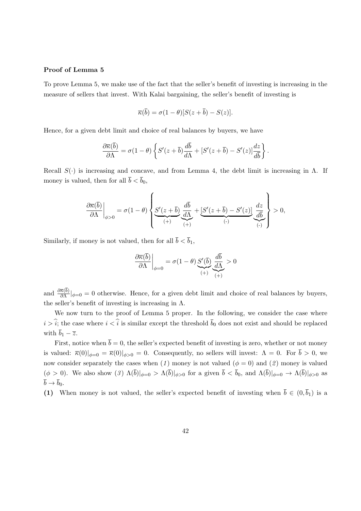### Proof of Lemma 5

To prove Lemma 5, we make use of the fact that the seller's benefit of investing is increasing in the measure of sellers that invest. With Kalai bargaining, the seller's benefit of investing is

$$
\overline{\kappa}(\overline{b}) = \sigma(1-\theta)[S(z+\overline{b}) - S(z)].
$$

Hence, for a given debt limit and choice of real balances by buyers, we have

$$
\frac{\partial \overline{\kappa}(\overline{b})}{\partial \Lambda} = \sigma(1-\theta) \left\{ S'(z+\overline{b}) \frac{d\overline{b}}{d\Lambda} + [S'(z+\overline{b}) - S'(z)] \frac{dz}{d\overline{b}} \right\}.
$$

Recall  $S(\cdot)$  is increasing and concave, and from Lemma 4, the debt limit is increasing in  $\Lambda$ . If money is valued, then for all  $\bar{b} < \bar{b}_0$ ,

$$
\left.\frac{\partial \overline{\kappa}(\overline{b})}{\partial \Lambda}\right|_{\phi>0}=\sigma(1-\theta)\left\{\underbrace{S'(z+\overline{b})}_{(+)}\underbrace{\frac{d\overline{b}}{d\Lambda}}_{(+)}+\underbrace{[S'(z+\overline{b})-S'(z)]}_{(-)}\underbrace{\frac{dz}{d\overline{b}}}_{(-)}\right\}>0,
$$

Similarly, if money is not valued, then for all  $\bar{b} < \bar{b}_1$ ,

$$
\left. \frac{\partial \overline{\kappa}(\overline{b})}{\partial \Lambda} \right|_{\phi=0} = \sigma(1-\theta) \underbrace{S'(\overline{b})}_{(+)} \underbrace{\frac{d\overline{b}}{d\Lambda}}_{(+)} > 0
$$

and  $\frac{\partial \bar{\kappa}(b)}{\partial \Lambda} |_{\phi=0} = 0$  otherwise. Hence, for a given debt limit and choice of real balances by buyers, the seller's benefit of investing is increasing in  $\Lambda$ .

We now turn to the proof of Lemma 5 proper. In the following, we consider the case where  $i > \hat{i}$ ; the case where  $i < \hat{i}$  is similar except the threshold  $\bar{b}_0$  does not exist and should be replaced with  $\overline{b}_1 - \overline{z}$ .

First, notice when  $\bar{b} = 0$ , the seller's expected benefit of investing is zero, whether or not money is valued:  $\bar{\kappa}(0)|_{\phi=0} = \bar{\kappa}(0)|_{\phi>0} = 0$ . Consequently, no sellers will invest:  $\Lambda = 0$ . For  $\bar{b} > 0$ , we now consider separately the cases when (1) money is not valued ( $\phi = 0$ ) and (2) money is valued  $(\phi > 0)$ . We also show  $(3) \Lambda(\overline{b})|_{\phi=0} > \Lambda(\overline{b})|_{\phi>0}$  for a given  $\overline{b} < \overline{b}_0$ , and  $\Lambda(\overline{b})|_{\phi=0} \to \Lambda(\overline{b})|_{\phi>0}$  as  $\overline{b} \rightarrow \overline{b}_0.$ 

(1) When money is not valued, the seller's expected benefit of investing when  $\bar{b} \in (0, \bar{b}_1)$  is a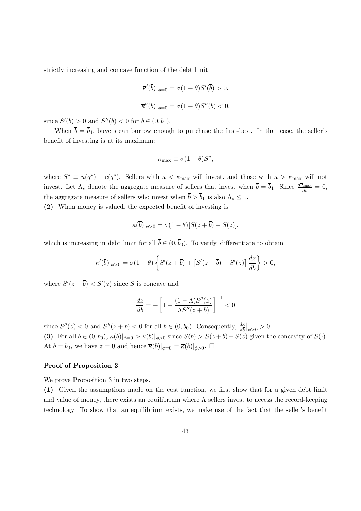strictly increasing and concave function of the debt limit:

$$
\overline{\kappa}'(\overline{b})|_{\phi=0} = \sigma(1-\theta)S'(\overline{b}) > 0,
$$
  

$$
\overline{\kappa}''(\overline{b})|_{\phi=0} = \sigma(1-\theta)S''(\overline{b}) < 0,
$$

since  $S'(\overline{b}) > 0$  and  $S''(\overline{b}) < 0$  for  $\overline{b} \in (0, \overline{b}_1)$ .

When  $\bar{b} = \bar{b}_1$ , buyers can borrow enough to purchase the first-best. In that case, the seller's benefit of investing is at its maximum:

$$
\overline{\kappa}_{\max} \equiv \sigma (1 - \theta) S^*,
$$

where  $S^* \equiv u(q^*) - c(q^*)$ . Sellers with  $\kappa < \bar{\kappa}_{\text{max}}$  will invest, and those with  $\kappa > \bar{\kappa}_{\text{max}}$  will not invest. Let  $\Lambda_s$  denote the aggregate measure of sellers that invest when  $\bar{b} = \bar{b}_1$ . Since  $\frac{d\bar{\kappa}_{\text{max}}}{d\bar{b}} = 0$ , the aggregate measure of sellers who invest when  $\bar{b} > \bar{b}_1$  is also  $\Lambda_s \leq 1$ .

(2) When money is valued, the expected benefit of investing is

$$
\overline{\kappa}(\overline{b})|_{\phi>0} = \sigma(1-\theta)[S(z+\overline{b})-S(z)],
$$

which is increasing in debt limit for all  $\bar{b} \in (0, \bar{b}_0)$ . To verify, differentiate to obtain

$$
\overline{\kappa}'(\overline{b})|_{\phi>0} = \sigma(1-\theta)\left\{S'(z+\overline{b}) + \left[S'(z+\overline{b}) - S'(z)\right]\frac{dz}{d\overline{b}}\right\} > 0,
$$

where  $S'(z + \overline{b}) < S'(z)$  since S is concave and

$$
\frac{dz}{d\bar{b}} = -\left[1 + \frac{(1-\Lambda)S''(z)}{\Lambda S''(z+\bar{b})}\right]^{-1} < 0
$$

since  $S''(z) < 0$  and  $S''(z + \bar{b}) < 0$  for all  $\bar{b} \in (0, \bar{b}_0)$ . Consequently,  $\frac{d\bar{E}}{d\bar{b}}|_{\phi > 0} > 0$ . (3) For all  $\bar{b} \in (0, \bar{b}_0), \bar{\kappa}(\bar{b})|_{\phi=0} > \bar{\kappa}(\bar{b})|_{\phi>0}$  since  $S(\bar{b}) > S(z+\bar{b})-S(z)$  given the concavity of  $S(\cdot)$ . At  $\bar{b} = \bar{b}_0$ , we have  $z = 0$  and hence  $\bar{\kappa}(\bar{b})|_{\phi=0} = \bar{\kappa}(\bar{b})|_{\phi>0}$ .

#### Proof of Proposition 3

We prove Proposition 3 in two steps.

(1) Given the assumptions made on the cost function, we first show that for a given debt limit and value of money, there exists an equilibrium where  $\Lambda$  sellers invest to access the record-keeping technology. To show that an equilibrium exists, we make use of the fact that the seller's benefit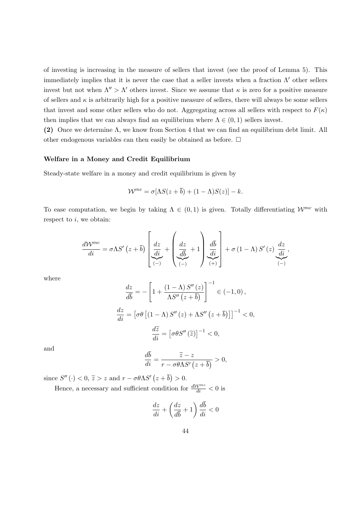of investing is increasing in the measure of sellers that invest (see the proof of Lemma 5). This immediately implies that it is never the case that a seller invests when a fraction  $\Lambda'$  other sellers invest but not when  $\Lambda'' > \Lambda'$  others invest. Since we assume that  $\kappa$  is zero for a positive measure of sellers and  $\kappa$  is arbitrarily high for a positive measure of sellers, there will always be some sellers that invest and some other sellers who do not. Aggregating across all sellers with respect to  $F(\kappa)$ then implies that we can always find an equilibrium where  $\Lambda \in (0,1)$  sellers invest.

(2) Once we determine Λ, we know from Section 4 that we can find an equilibrium debt limit. All other endogenous variables can then easily be obtained as before.  $\Box$ 

#### Welfare in a Money and Credit Equilibrium

Steady-state welfare in a money and credit equilibrium is given by

$$
\mathcal{W}^{mc} = \sigma[\Lambda S(z + \overline{b}) + (1 - \Lambda)S(z)] - k.
$$

To ease computation, we begin by taking  $\Lambda \in (0,1)$  is given. Totally differentiating  $\mathcal{W}^{mc}$  with respect to  $i$ , we obtain:

$$
\frac{d\mathcal{W}^{mc}}{di} = \sigma \Lambda S' \left( z + \overline{b} \right) \left[ \underbrace{\frac{dz}{di}}_{(-)} + \left( \underbrace{\frac{dz}{d\overline{b}}}_{(-)} + 1 \right) \underbrace{\frac{d\overline{b}}{di}}_{(+)} \right] + \sigma \left( 1 - \Lambda \right) S' \left( z \right) \underbrace{\frac{dz}{di}}_{(-)} ,
$$

where

$$
\frac{dz}{d\overline{b}} = -\left[1 + \frac{(1-\Lambda) S''(z)}{\Lambda S''(z+\overline{b})}\right]^{-1} \in (-1,0),
$$

$$
\frac{dz}{di} = \left[\sigma\theta \left[(1-\Lambda) S''(z) + \Lambda S''(z+\overline{b})\right]\right]^{-1} < 0,
$$

$$
\frac{d\widetilde{z}}{di} = \left[\sigma\theta S''(\widetilde{z})\right]^{-1} < 0,
$$

and

$$
\frac{d\overline{b}}{di} = \frac{\widetilde{z} - z}{r - \sigma \theta \Lambda S' \left(z + \overline{b}\right)} > 0,
$$

since  $S''(\cdot) < 0$ ,  $\tilde{z} > z$  and  $r - \sigma \theta \Lambda S' (z + \bar{b}) > 0$ .

Hence, a necessary and sufficient condition for  $\frac{dW^{mc}}{di} < 0$  is

$$
\frac{dz}{di} + \left(\frac{dz}{d\bar{b}} + 1\right)\frac{d\bar{b}}{di} < 0
$$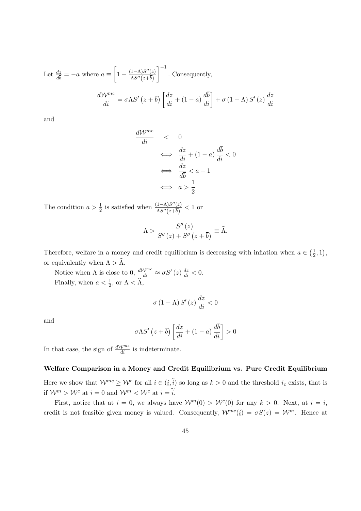Let 
$$
\frac{dz}{d\overline{b}} = -a
$$
 where  $a \equiv \left[1 + \frac{(1-\Lambda)S''(z)}{\Lambda S''(z+\overline{b})}\right]^{-1}$ . Consequently,  

$$
\frac{d\mathcal{W}^{mc}}{di} = \sigma \Lambda S' (z+\overline{b}) \left[\frac{dz}{di} + (1-a)\frac{d\overline{b}}{di}\right] + \sigma (1-\Lambda) S'(z) \frac{dz}{di}
$$

and

$$
\frac{d\mathcal{W}^{mc}}{di} < 0
$$
\n
$$
\iff \frac{dz}{di} + (1 - a) \frac{d\bar{b}}{di} < 0
$$
\n
$$
\iff \frac{dz}{d\bar{b}} < a - 1
$$
\n
$$
\iff a > \frac{1}{2}
$$

The condition  $a > \frac{1}{2}$  is satisfied when  $\frac{(1-\Lambda)S''(z)}{\Lambda S''(z+\overline{b})}$  $\frac{(1-\Lambda)S^{\circ}(z)}{\Lambda S^{\prime\prime}(z+\overline{b})} < 1$  or

$$
\Lambda > \frac{S''(z)}{S''(z) + S''(z+\overline{b})} \equiv \widehat{\Lambda}.
$$

Therefore, welfare in a money and credit equilibrium is decreasing with inflation when  $a \in \left(\frac{1}{2}\right)$  $(\frac{1}{2}, 1),$ or equivalently when  $\Lambda > \widehat{\Lambda}$ .

Notice when  $\Lambda$  is close to 0,  $\frac{d\mathcal{W}^{mc}}{di} \approx \sigma S'(z) \frac{dz}{di} < 0$ . Finally, when  $a < \frac{1}{2}$ , or  $\Lambda < \hat{\Lambda}$ ,

$$
\sigma\left(1-\Lambda\right)S'\left(z\right)\frac{dz}{di} < 0
$$

and

$$
\sigma \Lambda S' \left( z + \overline{b} \right) \left[ \frac{dz}{di} + (1 - a) \frac{d\overline{b}}{di} \right] > 0
$$

In that case, the sign of  $\frac{dW^{mc}}{di}$  is indeterminate.

#### Welfare Comparison in a Money and Credit Equilibrium vs. Pure Credit Equilibrium

Here we show that  $\mathcal{W}^{mc} \geq \mathcal{W}^c$  for all  $i \in (\underline{i}, \widetilde{i})$  so long as  $k > 0$  and the threshold  $i_c$  exists, that is if  $\mathcal{W}^m > \mathcal{W}^c$  at  $i = 0$  and  $\mathcal{W}^m < \mathcal{W}^c$  at  $i = \tilde{i}$ .

First, notice that at  $i = 0$ , we always have  $W^m(0) > W^c(0)$  for any  $k > 0$ . Next, at  $i = i$ , credit is not feasible given money is valued. Consequently,  $\mathcal{W}^{mc}(\underline{i}) = \sigma S(z) = \mathcal{W}^m$ . Hence at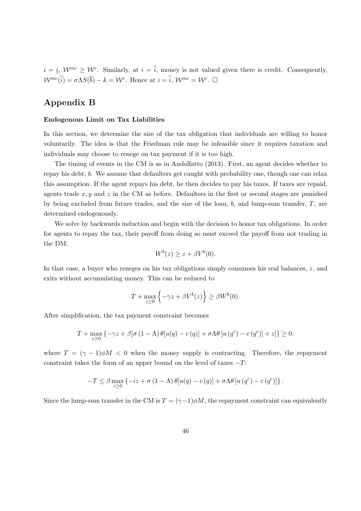$i = \underline{i}, W^{mc} \geq W^c$ . Similarly, at  $i = \tilde{i}$ , money is not valued given there is credit. Consequently,  $\mathcal{W}^{mc}(\tilde{i}) = \sigma \Lambda S(\bar{b}) - k = \mathcal{W}^c$ . Hence at  $i = \tilde{i}, \mathcal{W}^{mc} = \mathcal{W}^c$ .  $\Box$ 

### Appendix B

### Endogenous Limit on Tax Liabilities

In this section, we determine the size of the tax obligation that individuals are willing to honor voluntarily. The idea is that the Friedman rule may be infeasible since it requires taxation and individuals may choose to renege on tax payment if it is too high.

The timing of events in the CM is as in Andolfatto (2013). First, an agent decides whether to repay his debt, b. We assume that defaulters get caught with probability one, though one can relax this assumption. If the agent repays his debt, he then decides to pay his taxes. If taxes are repaid, agents trade  $x, y$  and  $z$  in the CM as before. Defaulters in the first or second stages are punished by being excluded from future trades, and the size of the loan,  $b$ , and lump-sum transfer,  $T$ , are determined endogenously.

We solve by backwards induction and begin with the decision to honor tax obligations. In order for agents to repay the tax, their payoff from doing so must exceed the payoff from not trading in the DM:

$$
W^b(z) \ge z + \beta V^b(0).
$$

In that case, a buyer who reneges on his tax obligations simply consumes his real balances, z, and exits without accumulating money. This can be reduced to

$$
T + \max_{z \ge 0} \left\{ -\gamma z + \beta V^b(z) \right\} \ge \beta W^b(0).
$$

After simplification, the tax payment constraint becomes

$$
T + \max_{z \ge 0} \left\{ -\gamma z + \beta [\sigma (1 - \Lambda) \theta [u(q) - c(q)] + \sigma \Lambda \theta [u(q^c) - c(q^c)] + z] \right\} \ge 0,
$$

where  $T = (\gamma - 1)\phi M < 0$  when the money supply is contracting. Therefore, the repayment constraint takes the form of an upper bound on the level of taxes  $-T$ :

$$
-T \leq \beta \max_{z \geq 0} \left\{ -iz + \sigma (1 - \Lambda) \theta[u(q) - c(q)] + \sigma \Lambda \theta[u(q^c) - c(q^c)] \right\}.
$$

Since the lump-sum transfer in the CM is  $T = (\gamma - 1)\phi M$ , the repayment constraint can equivalently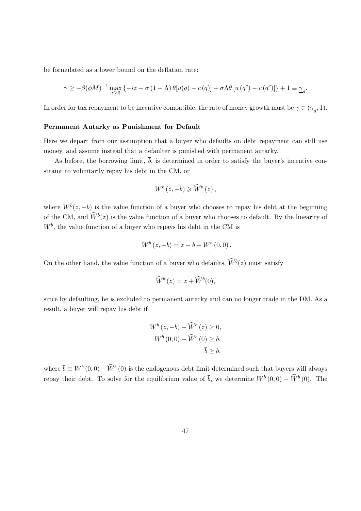be formulated as a lower bound on the deflation rate:

$$
\gamma \geq -\beta(\phi M)^{-1} \max_{z \geq 0} \left\{ -iz + \sigma(1-\Lambda) \theta[u(q) - c(q)] + \sigma \Lambda \theta[u(q^c) - c(q^c)] \right\} + 1 \equiv \gamma_d.
$$

In order for tax repayment to be incentive compatible, the rate of money growth must be  $\gamma \in (\underline{\gamma}_d, 1)$ .

### Permanent Autarky as Punishment for Default

Here we depart from our assumption that a buyer who defaults on debt repayment can still use money, and assume instead that a defaulter is punished with permanent autarky.

As before, the borrowing limit,  $\overline{b}$ , is determined in order to satisfy the buyer's incentive constraint to voluntarily repay his debt in the CM, or

$$
W^b(z, -b) \geqslant \widehat{W}^b(z),
$$

where  $W^b(z, -b)$  is the value function of a buyer who chooses to repay his debt at the beginning of the CM, and  $\widehat{W}^b(z)$  is the value function of a buyer who chooses to default. By the linearity of  $W<sup>b</sup>$ , the value function of a buyer who repays his debt in the CM is

$$
W^{b}(z, -b) = z - b + W^{b}(0, 0).
$$

On the other hand, the value function of a buyer who defaults,  $\widetilde{W}^b(z)$  must satisfy

$$
\widehat{W}^b(z) = z + \widehat{W}^b(0),
$$

since by defaulting, he is excluded to permanent autarky and can no longer trade in the DM. As a result, a buyer will repay his debt if

$$
W^{b}(z, -b) - \widehat{W}^{b}(z) \ge 0,
$$
  

$$
W^{b}(0, 0) - \widehat{W}^{b}(0) \ge b,
$$
  

$$
\overline{b} \ge b,
$$

where  $\overline{b} \equiv W^b(0,0) - \widehat{W}^b(0)$  is the endogenous debt limit determined such that buyers will always repay their debt. To solve for the equilibrium value of  $\bar{b}$ , we determine  $W^b(0,0) - \widetilde{W}^b(0)$ . The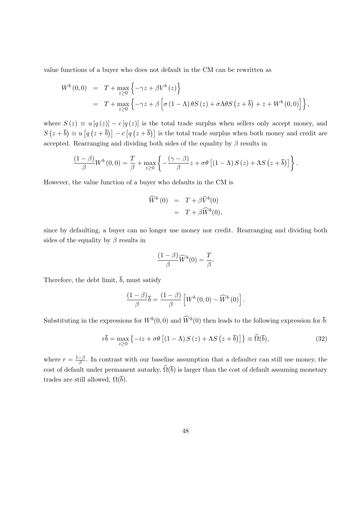value functions of a buyer who does not default in the CM can be rewritten as

$$
W^{b}(0,0) = T + \max_{z\geq 0} \left\{-\gamma z + \beta V^{b}(z)\right\}
$$
  
=  $T + \max_{z\geq 0} \left\{-\gamma z + \beta \left[\sigma (1-\Lambda) \theta S(z) + \sigma \Lambda \theta S(z+\overline{b}) + z + W^{b}(0,0)\right]\right\},$ 

where  $S(z) \equiv u [q(z)] - c [q(z)]$  is the total trade surplus when sellers only accept money, and  $S(z+\overline{b}) \equiv u [q(z+\overline{b})] - c [q(z+\overline{b})]$  is the total trade surplus when both money and credit are accepted. Rearranging and dividing both sides of the equality by  $\beta$  results in

$$
\frac{(1-\beta)}{\beta}W^{b}(0,0)=\frac{T}{\beta}+\max_{z\geq 0}\left\{-\frac{(\gamma-\beta)}{\beta}z+\sigma\theta\left[(1-\Lambda)S(z)+\Lambda S(z+\overline{b})\right]\right\}.
$$

However, the value function of a buyer who defaults in the CM is

$$
\widehat{W}^b(0) = T + \beta \widehat{V}^b(0)
$$
  
=  $T + \beta \widehat{W}^b(0)$ ,

since by defaulting, a buyer can no longer use money nor credit. Rearranging and dividing both sides of the equality by  $\beta$  results in

$$
\frac{(1-\beta)}{\beta}\widehat{W}^b(0) = \frac{T}{\beta}.
$$

Therefore, the debt limit,  $\overline{b}$ , must satisfy

$$
\frac{(1-\beta)}{\beta}\overline{b} = \frac{(1-\beta)}{\beta}\left[W^b(0,0) - \widehat{W}^b(0)\right].
$$

Substituting in the expressions for  $W^b(0,0)$  and  $\widehat{W}^b(0)$  then leads to the following expression for  $\overline{b}$ :

$$
r\overline{b} = \max_{z \ge 0} \left\{ -iz + \sigma\theta \left[ (1 - \Lambda) S(z) + \Lambda S(z + \overline{b}) \right] \right\} \equiv \widehat{\Omega}(\overline{b}),\tag{32}
$$

where  $r = \frac{1-\beta}{\beta}$  $\frac{-\beta}{\beta}$ . In contrast with our baseline assumption that a defaulter can still use money, the cost of default under permanent autarky,  $\widehat{\Omega}(\overline{b})$  is larger than the cost of default assuming monetary trades are still allowed,  $\Omega(\bar{b})$ .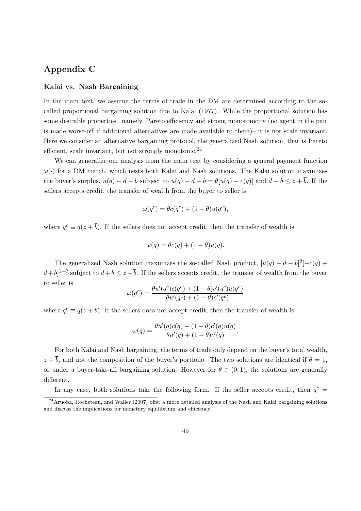### Appendix C

### Kalai vs. Nash Bargaining

In the main text, we assume the terms of trade in the DM are determined according to the socalled proportional bargaining solution due to Kalai (1977). While the proportional solution has some desirable properties– namely, Pareto efficiency and strong monotonicity (no agent in the pair is made worse-off if additional alternatives are made available to them)– it is not scale invariant. Here we consider an alternative bargaining protocol, the generalized Nash solution, that is Pareto efficient, scale invariant, but not strongly monotonic.<sup>24</sup>

We can generalize our analysis from the main text by considering a general payment function  $\omega(\cdot)$  for a DM match, which nests both Kalai and Nash solutions. The Kalai solution maximizes the buyer's surplus,  $u(q) - d - b$  subject to  $u(q) - d - b = \theta[u(q) - c(q)]$  and  $d + b \leq z + \overline{b}$ . If the sellers accepts credit, the transfer of wealth from the buyer to seller is

$$
\omega(q^c) = \theta c(q^c) + (1 - \theta)u(q^c),
$$

where  $q^c \equiv q(z + \overline{b})$ . If the sellers does not accept credit, then the transfer of wealth is

$$
\omega(q) = \theta c(q) + (1 - \theta)u(q).
$$

The generalized Nash solution maximizes the so-called Nash product,  $[u(q) - d - b]^{\theta}[-c(q) +$  $(d+b)^{1-\theta}$  subject to  $d+b \leq z+\overline{b}$ . If the sellers accepts credit, the transfer of wealth from the buyer to seller is

$$
\omega(q^{c}) = \frac{\theta u'(q^{c})c(q^{c}) + (1 - \theta)c'(q^{c})u(q^{c})}{\theta u'(q^{c}) + (1 - \theta)c'(q^{c})}
$$

where  $q^c \equiv q(z + \overline{b})$ . If the sellers does not accept credit, then the transfer of wealth is

$$
\omega(q) = \frac{\theta u'(q)c(q) + (1-\theta)c'(q)u(q)}{\theta u'(q) + (1-\theta)c'(q)}.
$$

For both Kalai and Nash bargaining, the terms of trade only depend on the buyer's total wealth,  $z + \overline{b}$ , and not the composition of the buyer's portfolio. The two solutions are identical if  $\theta = 1$ , or under a buyer-take-all bargaining solution. However for  $\theta \in (0,1)$ , the solutions are generally different.

In any case, both solutions take the following form. If the seller accepts credit, then  $q^c$  =

 $^{24}$ Aruoba, Rocheteau, and Waller (2007) offer a more detailed analysis of the Nash and Kalai bargaining solutions and discuss the implications for monetary equilibrium and efficiency.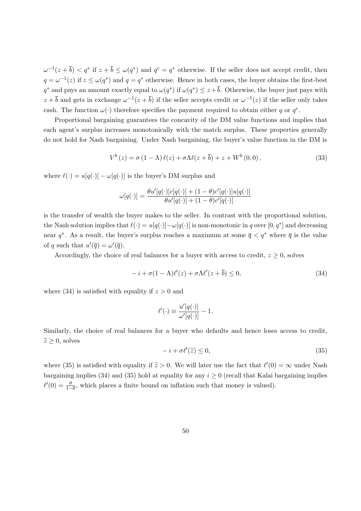$\omega^{-1}(z+\overline{b}) < q^*$  if  $z+\overline{b} \le \omega(q^*)$  and  $q^c = q^*$  otherwise. If the seller does not accept credit, then  $q = \omega^{-1}(z)$  if  $z \leq \omega(q^*)$  and  $q = q^*$  otherwise. Hence in both cases, the buyer obtains the first-best  $q^*$  and pays an amount exactly equal to  $\omega(q^*)$  if  $\omega(q^*) \leq z + \overline{b}$ . Otherwise, the buyer just pays with  $z+\overline{b}$  and gets in exchange  $\omega^{-1}(z+\overline{b})$  if the seller accepts credit or  $\omega^{-1}(z)$  if the seller only takes cash. The function  $\omega(\cdot)$  therefore specifies the payment required to obtain either q or  $q^c$ .

Proportional bargaining guarantees the concavity of the DM value functions and implies that each agent's surplus increases monotonically with the match surplus. These properties generally do not hold for Nash bargaining. Under Nash bargaining, the buyer's value function in the DM is

$$
V^{b}(z) = \sigma (1 - \Lambda) \ell(z) + \sigma \Lambda \ell(z + \overline{b}) + z + W^{b}(0,0), \qquad (33)
$$

where  $\ell(\cdot) = u[q(\cdot)] - \omega[q(\cdot)]$  is the buyer's DM surplus and

$$
\omega[q(\cdot)] = \frac{\theta u'[q(\cdot)]c[q(\cdot)] + (1-\theta)c'[q(\cdot)]u[q(\cdot)]}{\theta u'[q(\cdot)] + (1-\theta)c'[q(\cdot)]}
$$

is the transfer of wealth the buyer makes to the seller. In contrast with the proportional solution, the Nash solution implies that  $\ell(\cdot) = u[q(\cdot)] - \omega[q(\cdot)]$  is non-monotonic in q over  $[0, q^*]$  and decreasing near  $q^*$ . As a result, the buyer's surplus reaches a maximum at some  $\bar{q} < q^*$  where  $\bar{q}$  is the value of q such that  $u'(\overline{q}) = \omega'(\overline{q}).$ 

Accordingly, the choice of real balances for a buyer with access to credit,  $z \geq 0$ , solves

$$
-i + \sigma(1 - \Lambda)\ell'(z) + \sigma\Lambda\ell'(z + \overline{b}) \le 0,
$$
\n(34)

where (34) is satisfied with equality if  $z > 0$  and

$$
\ell'(\cdot) \equiv \frac{u'[q(\cdot)]}{\omega'[q(\cdot)]} - 1.
$$

Similarly, the choice of real balances for a buyer who defaults and hence loses access to credit,  $\tilde{z} \geq 0$ , solves

$$
-i + \sigma \ell'(\tilde{z}) \le 0,\tag{35}
$$

where (35) is satisfied with equality if  $\tilde{z} > 0$ . We will later use the fact that  $\ell'(0) = \infty$  under Nash bargaining implies (34) and (35) hold at equality for any  $i \geq 0$  (recall that Kalai bargaining implies  $\ell'(0) = \frac{\theta}{1-\theta}$ , which places a finite bound on inflation such that money is valued).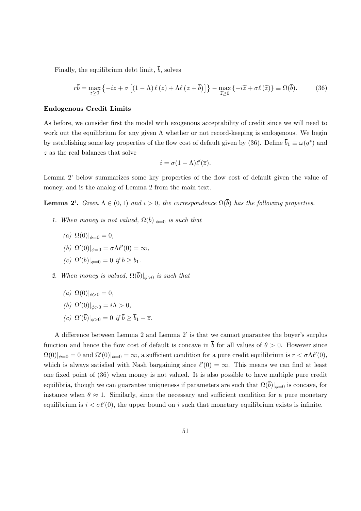Finally, the equilibrium debt limit,  $\overline{b}$ , solves

$$
r\overline{b} = \max_{z \ge 0} \left\{ -iz + \sigma \left[ (1 - \Lambda) \ell (z) + \Lambda \ell (z + \overline{b}) \right] \right\} - \max_{\widetilde{z} \ge 0} \left\{ -i\widetilde{z} + \sigma \ell (\widetilde{z}) \right\} \equiv \Omega(\overline{b}).\tag{36}
$$

#### Endogenous Credit Limits

As before, we consider first the model with exogenous acceptability of credit since we will need to work out the equilibrium for any given  $\Lambda$  whether or not record-keeping is endogenous. We begin by establishing some key properties of the flow cost of default given by (36). Define  $\bar{b}_1 \equiv \omega(q^*)$  and  $\overline{z}$  as the real balances that solve

$$
i = \sigma(1 - \Lambda)\ell'(\overline{z}).
$$

Lemma 2' below summarizes some key properties of the flow cost of default given the value of money, and is the analog of Lemma 2 from the main text.

**Lemma 2'.** Given  $\Lambda \in (0,1)$  and  $i > 0$ , the correspondence  $\Omega(\overline{b})$  has the following properties.

- 1. When money is not valued,  $\Omega(\overline{b})|_{\phi=0}$  is such that
	- (a)  $\Omega(0)|_{\phi=0} = 0,$
	- (b)  $\Omega'(0)|_{\phi=0} = \sigma \Lambda \ell'(0) = \infty$ ,
	- (c)  $\Omega'(\overline{b})|_{\phi=0} = 0$  if  $\overline{b} \ge \overline{b}_1$ .
- 2. When money is valued,  $\Omega(\overline{b})|_{\phi>0}$  is such that
	- (a)  $\Omega(0)|_{\phi>0} = 0,$
	- (b)  $\Omega'(0)|_{\phi>0} = i\Lambda > 0,$
	- (c)  $\Omega'(\overline{b})|_{\phi>0} = 0$  if  $\overline{b} \ge \overline{b}_1 \overline{z}$ .

A difference between Lemma 2 and Lemma 2' is that we cannot guarantee the buyer's surplus function and hence the flow cost of default is concave in  $\bar{b}$  for all values of  $\theta > 0$ . However since  $\Omega(0)|_{\phi=0} = 0$  and  $\Omega'(0)|_{\phi=0} = \infty$ , a sufficient condition for a pure credit equilibrium is  $r < \sigma \Lambda \ell'(0)$ , which is always satisfied with Nash bargaining since  $\ell'(0) = \infty$ . This means we can find at least one fixed point of (36) when money is not valued. It is also possible to have multiple pure credit equilibria, though we can guarantee uniqueness if parameters are such that  $\Omega(\bar{b})|_{\phi=0}$  is concave, for instance when  $\theta \approx 1$ . Similarly, since the necessary and sufficient condition for a pure monetary equilibrium is  $i < \sigma \ell'(0)$ , the upper bound on i such that monetary equilibrium exists is infinite.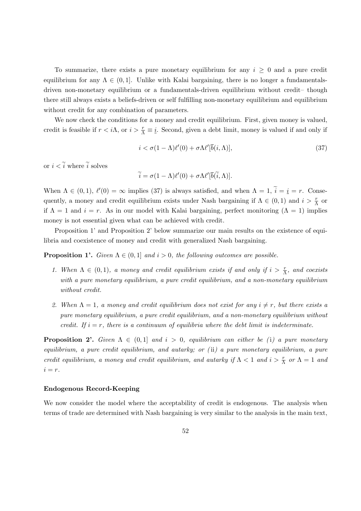To summarize, there exists a pure monetary equilibrium for any  $i \geq 0$  and a pure credit equilibrium for any  $\Lambda \in (0,1]$ . Unlike with Kalai bargaining, there is no longer a fundamentalsdriven non-monetary equilibrium or a fundamentals-driven equilibrium without credit– though there still always exists a beliefs-driven or self fulfilling non-monetary equilibrium and equilibrium without credit for any combination of parameters.

We now check the conditions for a money and credit equilibrium. First, given money is valued, credit is feasible if  $r < i\Lambda$ , or  $i > \frac{r}{\Lambda} \equiv \underline{i}$ . Second, given a debt limit, money is valued if and only if

$$
i < \sigma(1 - \Lambda)\ell'(0) + \sigma\Lambda\ell'[\overline{b}(i,\Lambda)],\tag{37}
$$

or  $i < \tilde{i}$  where  $\tilde{i}$  solves

$$
\widetilde{i} = \sigma(1 - \Lambda)\ell'(0) + \sigma\Lambda\ell'[\overline{b}(\widetilde{i}, \Lambda)].
$$

When  $\Lambda \in (0,1)$ ,  $\ell'(0) = \infty$  implies (37) is always satisfied, and when  $\Lambda = 1$ ,  $\tilde{i} = i = r$ . Consequently, a money and credit equilibrium exists under Nash bargaining if  $\Lambda \in (0,1)$  and  $i > \frac{r}{\Lambda}$  or if  $\Lambda = 1$  and  $i = r$ . As in our model with Kalai bargaining, perfect monitoring  $(\Lambda = 1)$  implies money is not essential given what can be achieved with credit.

Proposition 1' and Proposition 2' below summarize our main results on the existence of equilibria and coexistence of money and credit with generalized Nash bargaining.

**Proposition 1'.** Given  $\Lambda \in (0,1]$  and  $i > 0$ , the following outcomes are possible.

- 1. When  $\Lambda \in (0,1)$ , a money and credit equilibrium exists if and only if  $i > \frac{r}{\Lambda}$ , and coexists with a pure monetary equilibrium, a pure credit equilibrium, and a non-monetary equilibrium without credit.
- 2. When  $\Lambda = 1$ , a money and credit equilibrium does not exist for any  $i \neq r$ , but there exists a pure monetary equilibrium, a pure credit equilibrium, and a non-monetary equilibrium without credit. If  $i = r$ , there is a continuum of equilibria where the debt limit is indeterminate.

**Proposition 2'.** Given  $\Lambda \in (0,1]$  and  $i > 0$ , equilibrium can either be (i) a pure monetary equilibrium, a pure credit equilibrium, and autarky; or (ii) a pure monetary equilibrium, a pure credit equilibrium, a money and credit equilibrium, and autarky if  $\Lambda < 1$  and  $i > \frac{r}{\Lambda}$  or  $\Lambda = 1$  and  $i = r$ .

### Endogenous Record-Keeping

We now consider the model where the acceptability of credit is endogenous. The analysis when terms of trade are determined with Nash bargaining is very similar to the analysis in the main text,